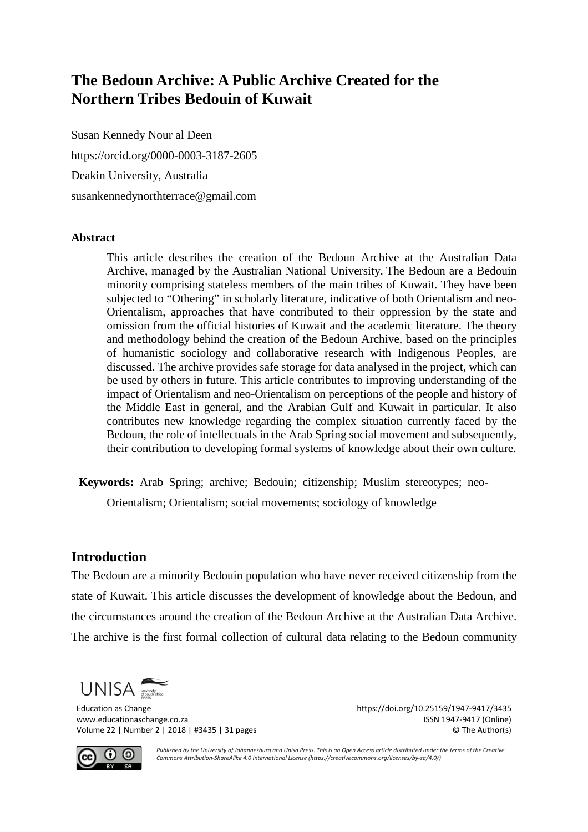# **The Bedoun Archive: A Public Archive Created for the Northern Tribes Bedouin of Kuwait**

Susan Kennedy Nour al Deen <https://orcid.org/0000-0003-3187-2605> Deakin University, Australia [susankennedynorthterrace@gmail.com](mailto:susankennedynorthterrace@gmail.com)

#### **Abstract**

This article describes the creation of the Bedoun Archive at the Australian Data Archive, managed by the Australian National University. The Bedoun are a Bedouin minority comprising stateless members of the main tribes of Kuwait. They have been subjected to "Othering" in scholarly literature, indicative of both Orientalism and neo-Orientalism, approaches that have contributed to their oppression by the state and omission from the official histories of Kuwait and the academic literature. The theory and methodology behind the creation of the Bedoun Archive, based on the principles of humanistic sociology and collaborative research with Indigenous Peoples, are discussed. The archive provides safe storage for data analysed in the project, which can be used by others in future. This article contributes to improving understanding of the impact of Orientalism and neo-Orientalism on perceptions of the people and history of the Middle East in general, and the Arabian Gulf and Kuwait in particular. It also contributes new knowledge regarding the complex situation currently faced by the Bedoun, the role of intellectuals in the Arab Spring social movement and subsequently, their contribution to developing formal systems of knowledge about their own culture.

**Keywords:** Arab Spring; archive; Bedouin; citizenship; Muslim stereotypes; neo-

Orientalism; Orientalism; social movements; sociology of knowledge

### **Introduction**

The Bedoun are a minority Bedouin population who have never received citizenship from the state of Kuwait. This article discusses the development of knowledge about the Bedoun, and the circumstances around the creation of the Bedoun Archive at the Australian Data Archive. The archive is the first formal collection of cultural data relating to the Bedoun community

**UNISA** 

Education as Change duration as Change https://doi.org/10.25159/1947-9417/3435<br>
www.educationaschange.co.za era change https://doi.org/10.25159/1947-9417 (Online) www.educationaschange.co.za Volume 22 | Number 2 | 2018 | #3435 | 31 pages © The Author(s)



*Published by the University of Johannesburg and Unisa Press. This is an Open Access article distributed under the terms of the Creative Commons Attribution-ShareAlike 4.0 International License (https://creativecommons.org/licenses/by-sa/4.0/)*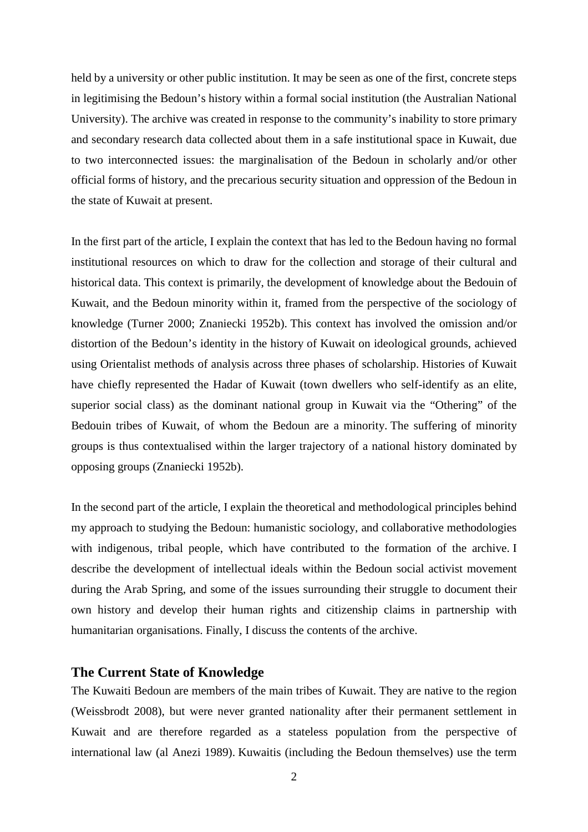held by a university or other public institution. It may be seen as one of the first, concrete steps in legitimising the Bedoun's history within a formal social institution (the Australian National University). The archive was created in response to the community's inability to store primary and secondary research data collected about them in a safe institutional space in Kuwait, due to two interconnected issues: the marginalisation of the Bedoun in scholarly and/or other official forms of history, and the precarious security situation and oppression of the Bedoun in the state of Kuwait at present.

In the first part of the article, I explain the context that has led to the Bedoun having no formal institutional resources on which to draw for the collection and storage of their cultural and historical data. This context is primarily, the development of knowledge about the Bedouin of Kuwait, and the Bedoun minority within it, framed from the perspective of the sociology of knowledge (Turner 2000; Znaniecki 1952b). This context has involved the omission and/or distortion of the Bedoun's identity in the history of Kuwait on ideological grounds, achieved using Orientalist methods of analysis across three phases of scholarship. Histories of Kuwait have chiefly represented the Hadar of Kuwait (town dwellers who self-identify as an elite, superior social class) as the dominant national group in Kuwait via the "Othering" of the Bedouin tribes of Kuwait, of whom the Bedoun are a minority. The suffering of minority groups is thus contextualised within the larger trajectory of a national history dominated by opposing groups (Znaniecki 1952b).

In the second part of the article, I explain the theoretical and methodological principles behind my approach to studying the Bedoun: humanistic sociology, and collaborative methodologies with indigenous, tribal people, which have contributed to the formation of the archive. I describe the development of intellectual ideals within the Bedoun social activist movement during the Arab Spring, and some of the issues surrounding their struggle to document their own history and develop their human rights and citizenship claims in partnership with humanitarian organisations. Finally, I discuss the contents of the archive.

#### **The Current State of Knowledge**

The Kuwaiti Bedoun are members of the main tribes of Kuwait. They are native to the region (Weissbrodt 2008), but were never granted nationality after their permanent settlement in Kuwait and are therefore regarded as a stateless population from the perspective of international law (al Anezi 1989). Kuwaitis (including the Bedoun themselves) use the term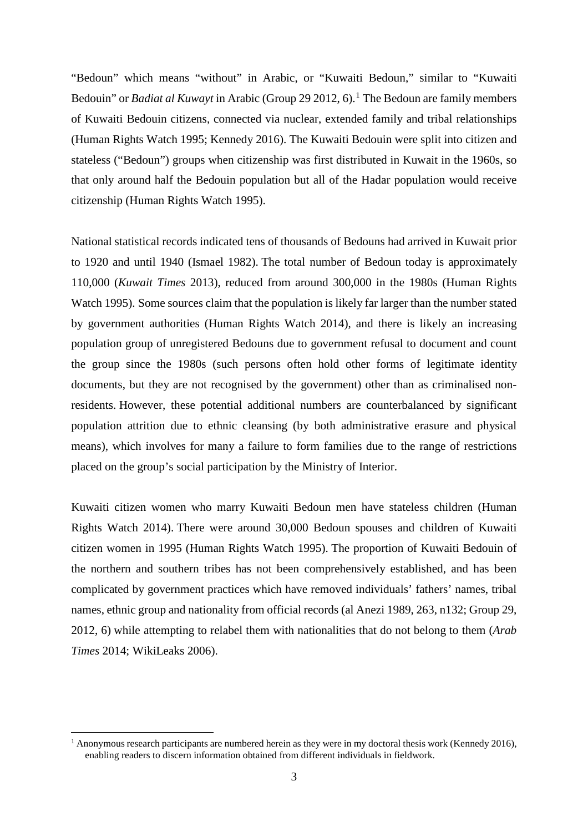"Bedoun" which means "without" in Arabic, or "Kuwaiti Bedoun," similar to "Kuwaiti Bedouin" or *Badiat al Kuwayt* in Arabic (Group 29 20[1](#page-2-0)2, 6).<sup>1</sup> The Bedoun are family members of Kuwaiti Bedouin citizens, connected via nuclear, extended family and tribal relationships (Human Rights Watch 1995; Kennedy 2016). The Kuwaiti Bedouin were split into citizen and stateless ("Bedoun") groups when citizenship was first distributed in Kuwait in the 1960s, so that only around half the Bedouin population but all of the Hadar population would receive citizenship (Human Rights Watch 1995).

National statistical records indicated tens of thousands of Bedouns had arrived in Kuwait prior to 1920 and until 1940 (Ismael 1982). The total number of Bedoun today is approximately 110,000 (*Kuwait Times* 2013), reduced from around 300,000 in the 1980s (Human Rights Watch 1995). Some sources claim that the population is likely far larger than the number stated by government authorities (Human Rights Watch 2014), and there is likely an increasing population group of unregistered Bedouns due to government refusal to document and count the group since the 1980s (such persons often hold other forms of legitimate identity documents, but they are not recognised by the government) other than as criminalised nonresidents. However, these potential additional numbers are counterbalanced by significant population attrition due to ethnic cleansing (by both administrative erasure and physical means), which involves for many a failure to form families due to the range of restrictions placed on the group's social participation by the Ministry of Interior.

Kuwaiti citizen women who marry Kuwaiti Bedoun men have stateless children (Human Rights Watch 2014). There were around 30,000 Bedoun spouses and children of Kuwaiti citizen women in 1995 (Human Rights Watch 1995). The proportion of Kuwaiti Bedouin of the northern and southern tribes has not been comprehensively established, and has been complicated by government practices which have removed individuals' fathers' names, tribal names, ethnic group and nationality from official records (al Anezi 1989, 263, n132; Group 29, 2012, 6) while attempting to relabel them with nationalities that do not belong to them (*Arab Times* 2014; WikiLeaks 2006).

<span id="page-2-0"></span><sup>&</sup>lt;sup>1</sup> Anonymous research participants are numbered herein as they were in my doctoral thesis work (Kennedy 2016), enabling readers to discern information obtained from different individuals in fieldwork.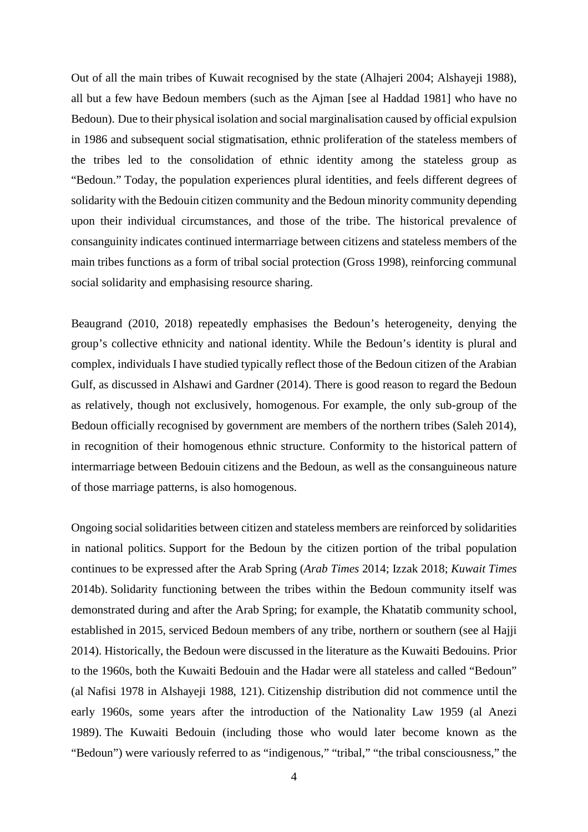Out of all the main tribes of Kuwait recognised by the state (Alhajeri 2004; Alshayeji 1988), all but a few have Bedoun members (such as the Ajman [see al Haddad 1981] who have no Bedoun). Due to their physical isolation and social marginalisation caused by official expulsion in 1986 and subsequent social stigmatisation, ethnic proliferation of the stateless members of the tribes led to the consolidation of ethnic identity among the stateless group as "Bedoun." Today, the population experiences plural identities, and feels different degrees of solidarity with the Bedouin citizen community and the Bedoun minority community depending upon their individual circumstances, and those of the tribe. The historical prevalence of consanguinity indicates continued intermarriage between citizens and stateless members of the main tribes functions as a form of tribal social protection (Gross 1998), reinforcing communal social solidarity and emphasising resource sharing.

Beaugrand (2010, 2018) repeatedly emphasises the Bedoun's heterogeneity, denying the group's collective ethnicity and national identity. While the Bedoun's identity is plural and complex, individuals I have studied typically reflect those of the Bedoun citizen of the Arabian Gulf, as discussed in Alshawi and Gardner (2014). There is good reason to regard the Bedoun as relatively, though not exclusively, homogenous. For example, the only sub-group of the Bedoun officially recognised by government are members of the northern tribes (Saleh 2014), in recognition of their homogenous ethnic structure. Conformity to the historical pattern of intermarriage between Bedouin citizens and the Bedoun, as well as the consanguineous nature of those marriage patterns, is also homogenous.

Ongoing social solidarities between citizen and stateless members are reinforced by solidarities in national politics. Support for the Bedoun by the citizen portion of the tribal population continues to be expressed after the Arab Spring (*Arab Times* 2014; Izzak 2018; *Kuwait Times* 2014b). Solidarity functioning between the tribes within the Bedoun community itself was demonstrated during and after the Arab Spring; for example, the Khatatib community school, established in 2015, serviced Bedoun members of any tribe, northern or southern (see al Hajji 2014). Historically, the Bedoun were discussed in the literature as the Kuwaiti Bedouins. Prior to the 1960s, both the Kuwaiti Bedouin and the Hadar were all stateless and called "Bedoun" (al Nafisi 1978 in Alshayeji 1988, 121). Citizenship distribution did not commence until the early 1960s, some years after the introduction of the Nationality Law 1959 (al Anezi 1989). The Kuwaiti Bedouin (including those who would later become known as the "Bedoun") were variously referred to as "indigenous," "tribal," "the tribal consciousness," the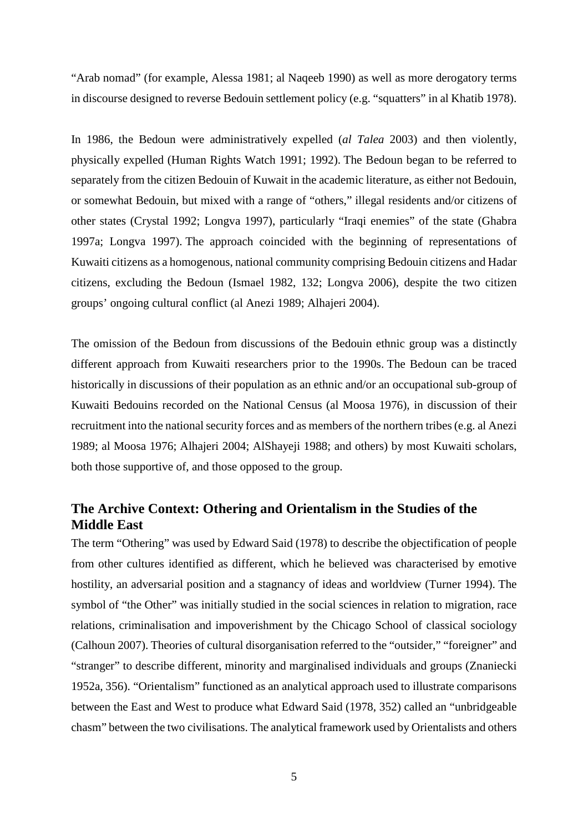"Arab nomad" (for example, Alessa 1981; al Naqeeb 1990) as well as more derogatory terms in discourse designed to reverse Bedouin settlement policy (e.g. "squatters" in al Khatib 1978).

In 1986, the Bedoun were administratively expelled (*al Talea* 2003) and then violently, physically expelled (Human Rights Watch 1991; 1992). The Bedoun began to be referred to separately from the citizen Bedouin of Kuwait in the academic literature, as either not Bedouin, or somewhat Bedouin, but mixed with a range of "others," illegal residents and/or citizens of other states (Crystal 1992; Longva 1997), particularly "Iraqi enemies" of the state (Ghabra 1997a; Longva 1997). The approach coincided with the beginning of representations of Kuwaiti citizens as a homogenous, national community comprising Bedouin citizens and Hadar citizens, excluding the Bedoun (Ismael 1982, 132; Longva 2006), despite the two citizen groups' ongoing cultural conflict (al Anezi 1989; Alhajeri 2004).

The omission of the Bedoun from discussions of the Bedouin ethnic group was a distinctly different approach from Kuwaiti researchers prior to the 1990s. The Bedoun can be traced historically in discussions of their population as an ethnic and/or an occupational sub-group of Kuwaiti Bedouins recorded on the National Census (al Moosa 1976), in discussion of their recruitment into the national security forces and as members of the northern tribes (e.g. al Anezi 1989; al Moosa 1976; Alhajeri 2004; AlShayeji 1988; and others) by most Kuwaiti scholars, both those supportive of, and those opposed to the group.

# **The Archive Context: Othering and Orientalism in the Studies of the Middle East**

The term "Othering" was used by Edward Said (1978) to describe the objectification of people from other cultures identified as different, which he believed was characterised by emotive hostility, an adversarial position and a stagnancy of ideas and worldview (Turner 1994). The symbol of "the Other" was initially studied in the social sciences in relation to migration, race relations, criminalisation and impoverishment by the Chicago School of classical sociology (Calhoun 2007). Theories of cultural disorganisation referred to the "outsider," "foreigner" and "stranger" to describe different, minority and marginalised individuals and groups (Znaniecki 1952a, 356). "Orientalism" functioned as an analytical approach used to illustrate comparisons between the East and West to produce what Edward Said (1978, 352) called an "unbridgeable chasm" between the two civilisations. The analytical framework used by Orientalists and others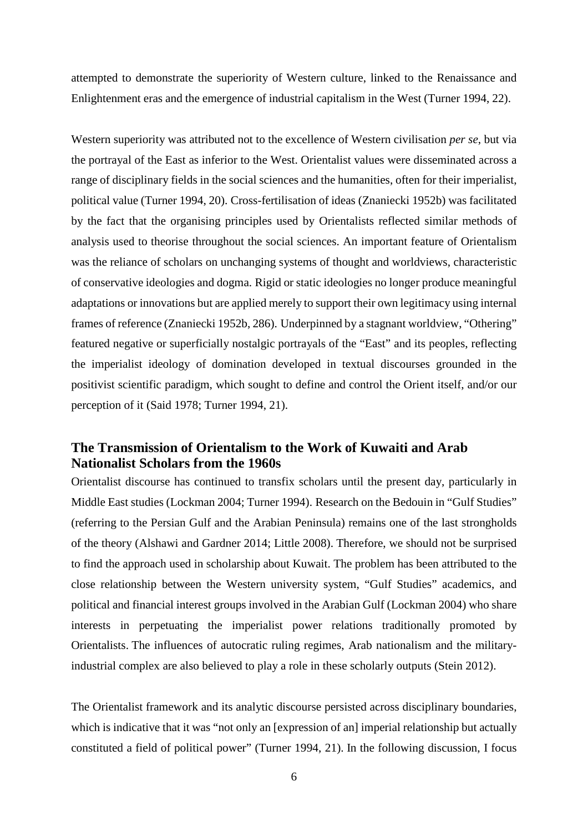attempted to demonstrate the superiority of Western culture, linked to the Renaissance and Enlightenment eras and the emergence of industrial capitalism in the West (Turner 1994, 22).

Western superiority was attributed not to the excellence of Western civilisation *per se*, but via the portrayal of the East as inferior to the West. Orientalist values were disseminated across a range of disciplinary fields in the social sciences and the humanities, often for their imperialist, political value (Turner 1994, 20). Cross-fertilisation of ideas (Znaniecki 1952b) was facilitated by the fact that the organising principles used by Orientalists reflected similar methods of analysis used to theorise throughout the social sciences. An important feature of Orientalism was the reliance of scholars on unchanging systems of thought and worldviews, characteristic of conservative ideologies and dogma. Rigid or static ideologies no longer produce meaningful adaptations or innovations but are applied merely to support their own legitimacy using internal frames of reference (Znaniecki 1952b, 286). Underpinned by a stagnant worldview, "Othering" featured negative or superficially nostalgic portrayals of the "East" and its peoples, reflecting the imperialist ideology of domination developed in textual discourses grounded in the positivist scientific paradigm, which sought to define and control the Orient itself, and/or our perception of it (Said 1978; Turner 1994, 21).

## **The Transmission of Orientalism to the Work of Kuwaiti and Arab Nationalist Scholars from the 1960s**

Orientalist discourse has continued to transfix scholars until the present day, particularly in Middle East studies (Lockman 2004; Turner 1994). Research on the Bedouin in "Gulf Studies" (referring to the Persian Gulf and the Arabian Peninsula) remains one of the last strongholds of the theory (Alshawi and Gardner 2014; Little 2008). Therefore, we should not be surprised to find the approach used in scholarship about Kuwait. The problem has been attributed to the close relationship between the Western university system, "Gulf Studies" academics, and political and financial interest groups involved in the Arabian Gulf (Lockman 2004) who share interests in perpetuating the imperialist power relations traditionally promoted by Orientalists. The influences of autocratic ruling regimes, Arab nationalism and the militaryindustrial complex are also believed to play a role in these scholarly outputs (Stein 2012).

The Orientalist framework and its analytic discourse persisted across disciplinary boundaries, which is indicative that it was "not only an [expression of an] imperial relationship but actually constituted a field of political power" (Turner 1994, 21). In the following discussion, I focus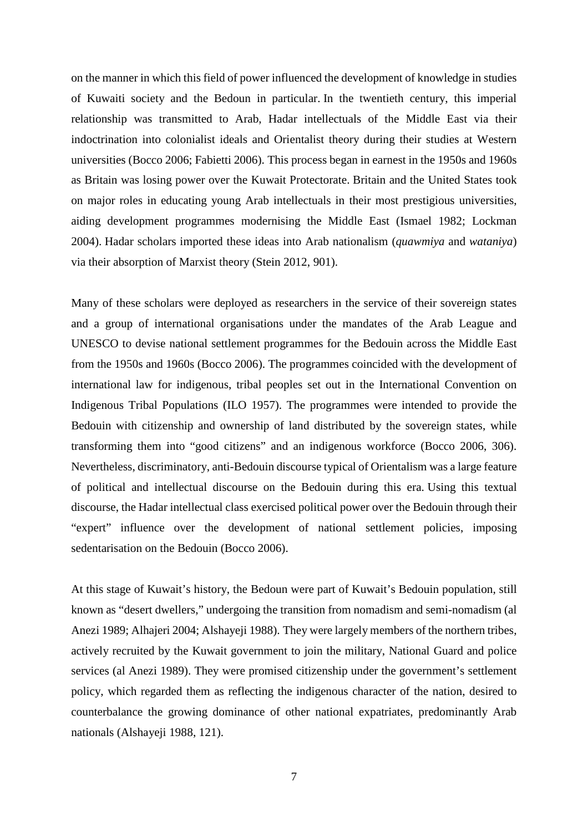on the manner in which this field of power influenced the development of knowledge in studies of Kuwaiti society and the Bedoun in particular. In the twentieth century, this imperial relationship was transmitted to Arab, Hadar intellectuals of the Middle East via their indoctrination into colonialist ideals and Orientalist theory during their studies at Western universities (Bocco 2006; Fabietti 2006). This process began in earnest in the 1950s and 1960s as Britain was losing power over the Kuwait Protectorate. Britain and the United States took on major roles in educating young Arab intellectuals in their most prestigious universities, aiding development programmes modernising the Middle East (Ismael 1982; Lockman 2004). Hadar scholars imported these ideas into Arab nationalism (*quawmiya* and *wataniya*) via their absorption of Marxist theory (Stein 2012, 901).

Many of these scholars were deployed as researchers in the service of their sovereign states and a group of international organisations under the mandates of the Arab League and UNESCO to devise national settlement programmes for the Bedouin across the Middle East from the 1950s and 1960s (Bocco 2006). The programmes coincided with the development of international law for indigenous, tribal peoples set out in the International Convention on Indigenous Tribal Populations (ILO 1957). The programmes were intended to provide the Bedouin with citizenship and ownership of land distributed by the sovereign states, while transforming them into "good citizens" and an indigenous workforce (Bocco 2006, 306). Nevertheless, discriminatory, anti-Bedouin discourse typical of Orientalism was a large feature of political and intellectual discourse on the Bedouin during this era. Using this textual discourse, the Hadar intellectual class exercised political power over the Bedouin through their "expert" influence over the development of national settlement policies, imposing sedentarisation on the Bedouin (Bocco 2006).

At this stage of Kuwait's history, the Bedoun were part of Kuwait's Bedouin population, still known as "desert dwellers," undergoing the transition from nomadism and semi-nomadism (al Anezi 1989; Alhajeri 2004; Alshayeji 1988). They were largely members of the northern tribes, actively recruited by the Kuwait government to join the military, National Guard and police services (al Anezi 1989). They were promised citizenship under the government's settlement policy, which regarded them as reflecting the indigenous character of the nation, desired to counterbalance the growing dominance of other national expatriates, predominantly Arab nationals (Alshayeji 1988, 121).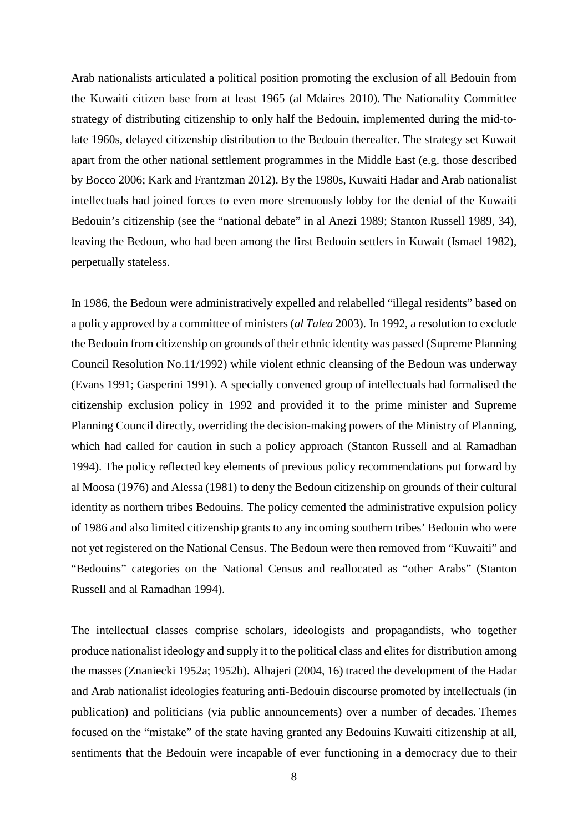Arab nationalists articulated a political position promoting the exclusion of all Bedouin from the Kuwaiti citizen base from at least 1965 (al Mdaires 2010). The Nationality Committee strategy of distributing citizenship to only half the Bedouin, implemented during the mid-tolate 1960s, delayed citizenship distribution to the Bedouin thereafter. The strategy set Kuwait apart from the other national settlement programmes in the Middle East (e.g. those described by Bocco 2006; Kark and Frantzman 2012). By the 1980s, Kuwaiti Hadar and Arab nationalist intellectuals had joined forces to even more strenuously lobby for the denial of the Kuwaiti Bedouin's citizenship (see the "national debate" in al Anezi 1989; Stanton Russell 1989, 34), leaving the Bedoun, who had been among the first Bedouin settlers in Kuwait (Ismael 1982), perpetually stateless.

In 1986, the Bedoun were administratively expelled and relabelled "illegal residents" based on a policy approved by a committee of ministers (*al Talea* 2003). In 1992, a resolution to exclude the Bedouin from citizenship on grounds of their ethnic identity was passed (Supreme Planning Council Resolution No.11/1992) while violent ethnic cleansing of the Bedoun was underway (Evans 1991; Gasperini 1991). A specially convened group of intellectuals had formalised the citizenship exclusion policy in 1992 and provided it to the prime minister and Supreme Planning Council directly, overriding the decision-making powers of the Ministry of Planning, which had called for caution in such a policy approach (Stanton Russell and al Ramadhan 1994). The policy reflected key elements of previous policy recommendations put forward by al Moosa (1976) and Alessa (1981) to deny the Bedoun citizenship on grounds of their cultural identity as northern tribes Bedouins. The policy cemented the administrative expulsion policy of 1986 and also limited citizenship grants to any incoming southern tribes' Bedouin who were not yet registered on the National Census. The Bedoun were then removed from "Kuwaiti" and "Bedouins" categories on the National Census and reallocated as "other Arabs" (Stanton Russell and al Ramadhan 1994).

The intellectual classes comprise scholars, ideologists and propagandists, who together produce nationalist ideology and supply it to the political class and elites for distribution among the masses (Znaniecki 1952a; 1952b). Alhajeri (2004, 16) traced the development of the Hadar and Arab nationalist ideologies featuring anti-Bedouin discourse promoted by intellectuals (in publication) and politicians (via public announcements) over a number of decades. Themes focused on the "mistake" of the state having granted any Bedouins Kuwaiti citizenship at all, sentiments that the Bedouin were incapable of ever functioning in a democracy due to their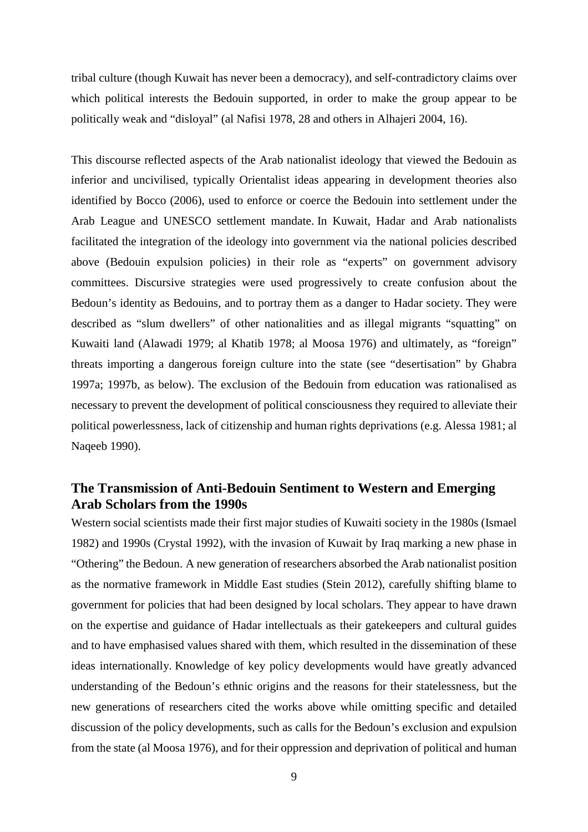tribal culture (though Kuwait has never been a democracy), and self-contradictory claims over which political interests the Bedouin supported, in order to make the group appear to be politically weak and "disloyal" (al Nafisi 1978, 28 and others in Alhajeri 2004, 16).

This discourse reflected aspects of the Arab nationalist ideology that viewed the Bedouin as inferior and uncivilised, typically Orientalist ideas appearing in development theories also identified by Bocco (2006), used to enforce or coerce the Bedouin into settlement under the Arab League and UNESCO settlement mandate. In Kuwait, Hadar and Arab nationalists facilitated the integration of the ideology into government via the national policies described above (Bedouin expulsion policies) in their role as "experts" on government advisory committees. Discursive strategies were used progressively to create confusion about the Bedoun's identity as Bedouins, and to portray them as a danger to Hadar society. They were described as "slum dwellers" of other nationalities and as illegal migrants "squatting" on Kuwaiti land (Alawadi 1979; al Khatib 1978; al Moosa 1976) and ultimately, as "foreign" threats importing a dangerous foreign culture into the state (see "desertisation" by Ghabra 1997a; 1997b, as below). The exclusion of the Bedouin from education was rationalised as necessary to prevent the development of political consciousness they required to alleviate their political powerlessness, lack of citizenship and human rights deprivations (e.g. Alessa 1981; al Naqeeb 1990).

# **The Transmission of Anti-Bedouin Sentiment to Western and Emerging Arab Scholars from the 1990s**

Western social scientists made their first major studies of Kuwaiti society in the 1980s (Ismael 1982) and 1990s (Crystal 1992), with the invasion of Kuwait by Iraq marking a new phase in "Othering" the Bedoun. A new generation of researchers absorbed the Arab nationalist position as the normative framework in Middle East studies (Stein 2012), carefully shifting blame to government for policies that had been designed by local scholars. They appear to have drawn on the expertise and guidance of Hadar intellectuals as their gatekeepers and cultural guides and to have emphasised values shared with them, which resulted in the dissemination of these ideas internationally. Knowledge of key policy developments would have greatly advanced understanding of the Bedoun's ethnic origins and the reasons for their statelessness, but the new generations of researchers cited the works above while omitting specific and detailed discussion of the policy developments, such as calls for the Bedoun's exclusion and expulsion from the state (al Moosa 1976), and for their oppression and deprivation of political and human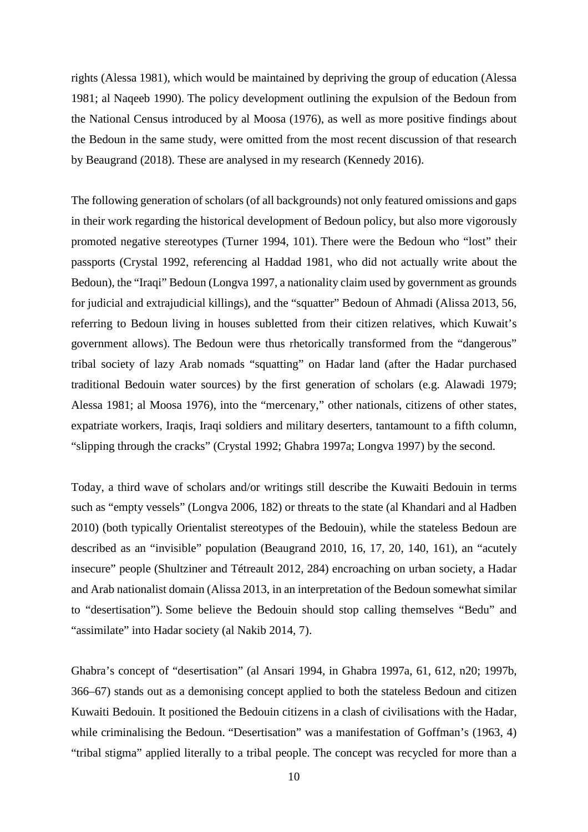rights (Alessa 1981), which would be maintained by depriving the group of education (Alessa 1981; al Naqeeb 1990). The policy development outlining the expulsion of the Bedoun from the National Census introduced by al Moosa (1976), as well as more positive findings about the Bedoun in the same study, were omitted from the most recent discussion of that research by Beaugrand (2018). These are analysed in my research (Kennedy 2016).

The following generation of scholars (of all backgrounds) not only featured omissions and gaps in their work regarding the historical development of Bedoun policy, but also more vigorously promoted negative stereotypes (Turner 1994, 101). There were the Bedoun who "lost" their passports (Crystal 1992, referencing al Haddad 1981, who did not actually write about the Bedoun), the "Iraqi" Bedoun (Longva 1997, a nationality claim used by government as grounds for judicial and extrajudicial killings), and the "squatter" Bedoun of Ahmadi (Alissa 2013, 56, referring to Bedoun living in houses subletted from their citizen relatives, which Kuwait's government allows). The Bedoun were thus rhetorically transformed from the "dangerous" tribal society of lazy Arab nomads "squatting" on Hadar land (after the Hadar purchased traditional Bedouin water sources) by the first generation of scholars (e.g. Alawadi 1979; Alessa 1981; al Moosa 1976), into the "mercenary," other nationals, citizens of other states, expatriate workers, Iraqis, Iraqi soldiers and military deserters, tantamount to a fifth column, "slipping through the cracks" (Crystal 1992; Ghabra 1997a; Longva 1997) by the second.

Today, a third wave of scholars and/or writings still describe the Kuwaiti Bedouin in terms such as "empty vessels" (Longva 2006, 182) or threats to the state (al Khandari and al Hadben 2010) (both typically Orientalist stereotypes of the Bedouin), while the stateless Bedoun are described as an "invisible" population (Beaugrand 2010, 16, 17, 20, 140, 161), an "acutely insecure" people (Shultziner and Tétreault 2012, 284) encroaching on urban society, a Hadar and Arab nationalist domain (Alissa 2013, in an interpretation of the Bedoun somewhat similar to "desertisation"). Some believe the Bedouin should stop calling themselves "Bedu" and "assimilate" into Hadar society (al Nakib 2014, 7).

Ghabra's concept of "desertisation" (al Ansari 1994, in Ghabra 1997a, 61, 612, n20; 1997b, 366–67) stands out as a demonising concept applied to both the stateless Bedoun and citizen Kuwaiti Bedouin. It positioned the Bedouin citizens in a clash of civilisations with the Hadar, while criminalising the Bedoun. "Desertisation" was a manifestation of Goffman's (1963, 4) "tribal stigma" applied literally to a tribal people. The concept was recycled for more than a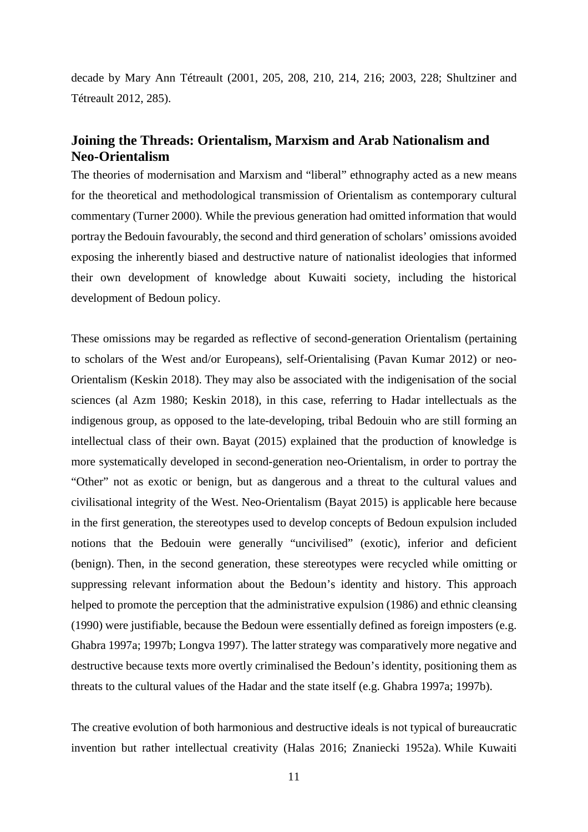decade by Mary Ann Tétreault (2001, 205, 208, 210, 214, 216; 2003, 228; Shultziner and Tétreault 2012, 285).

# **Joining the Threads: Orientalism, Marxism and Arab Nationalism and Neo-Orientalism**

The theories of modernisation and Marxism and "liberal" ethnography acted as a new means for the theoretical and methodological transmission of Orientalism as contemporary cultural commentary (Turner 2000). While the previous generation had omitted information that would portray the Bedouin favourably, the second and third generation of scholars' omissions avoided exposing the inherently biased and destructive nature of nationalist ideologies that informed their own development of knowledge about Kuwaiti society, including the historical development of Bedoun policy.

These omissions may be regarded as reflective of second-generation Orientalism (pertaining to scholars of the West and/or Europeans), self-Orientalising (Pavan Kumar 2012) or neo-Orientalism (Keskin 2018). They may also be associated with the indigenisation of the social sciences (al Azm 1980; Keskin 2018), in this case, referring to Hadar intellectuals as the indigenous group, as opposed to the late-developing, tribal Bedouin who are still forming an intellectual class of their own. Bayat (2015) explained that the production of knowledge is more systematically developed in second-generation neo-Orientalism, in order to portray the "Other" not as exotic or benign, but as dangerous and a threat to the cultural values and civilisational integrity of the West. Neo-Orientalism (Bayat 2015) is applicable here because in the first generation, the stereotypes used to develop concepts of Bedoun expulsion included notions that the Bedouin were generally "uncivilised" (exotic), inferior and deficient (benign). Then, in the second generation, these stereotypes were recycled while omitting or suppressing relevant information about the Bedoun's identity and history. This approach helped to promote the perception that the administrative expulsion (1986) and ethnic cleansing (1990) were justifiable, because the Bedoun were essentially defined as foreign imposters (e.g. Ghabra 1997a; 1997b; Longva 1997). The latter strategy was comparatively more negative and destructive because texts more overtly criminalised the Bedoun's identity, positioning them as threats to the cultural values of the Hadar and the state itself (e.g. Ghabra 1997a; 1997b).

The creative evolution of both harmonious and destructive ideals is not typical of bureaucratic invention but rather intellectual creativity (Halas 2016; Znaniecki 1952a). While Kuwaiti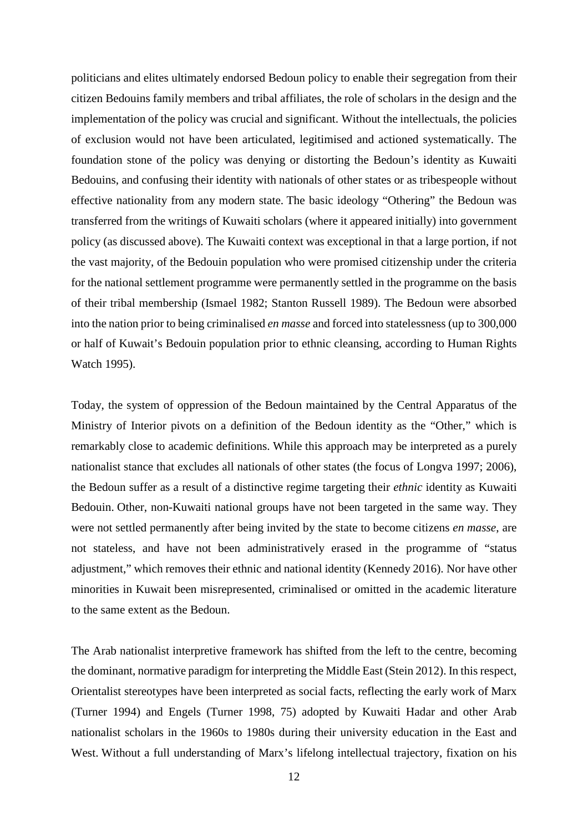politicians and elites ultimately endorsed Bedoun policy to enable their segregation from their citizen Bedouins family members and tribal affiliates, the role of scholars in the design and the implementation of the policy was crucial and significant. Without the intellectuals, the policies of exclusion would not have been articulated, legitimised and actioned systematically. The foundation stone of the policy was denying or distorting the Bedoun's identity as Kuwaiti Bedouins, and confusing their identity with nationals of other states or as tribespeople without effective nationality from any modern state. The basic ideology "Othering" the Bedoun was transferred from the writings of Kuwaiti scholars (where it appeared initially) into government policy (as discussed above). The Kuwaiti context was exceptional in that a large portion, if not the vast majority, of the Bedouin population who were promised citizenship under the criteria for the national settlement programme were permanently settled in the programme on the basis of their tribal membership (Ismael 1982; Stanton Russell 1989). The Bedoun were absorbed into the nation prior to being criminalised *en masse* and forced into statelessness (up to 300,000 or half of Kuwait's Bedouin population prior to ethnic cleansing, according to Human Rights Watch 1995).

Today, the system of oppression of the Bedoun maintained by the Central Apparatus of the Ministry of Interior pivots on a definition of the Bedoun identity as the "Other," which is remarkably close to academic definitions. While this approach may be interpreted as a purely nationalist stance that excludes all nationals of other states (the focus of Longva 1997; 2006), the Bedoun suffer as a result of a distinctive regime targeting their *ethnic* identity as Kuwaiti Bedouin. Other, non-Kuwaiti national groups have not been targeted in the same way. They were not settled permanently after being invited by the state to become citizens *en masse*, are not stateless, and have not been administratively erased in the programme of "status adjustment," which removes their ethnic and national identity (Kennedy 2016). Nor have other minorities in Kuwait been misrepresented, criminalised or omitted in the academic literature to the same extent as the Bedoun.

The Arab nationalist interpretive framework has shifted from the left to the centre, becoming the dominant, normative paradigm for interpreting the Middle East (Stein 2012). In this respect, Orientalist stereotypes have been interpreted as social facts, reflecting the early work of Marx (Turner 1994) and Engels (Turner 1998, 75) adopted by Kuwaiti Hadar and other Arab nationalist scholars in the 1960s to 1980s during their university education in the East and West. Without a full understanding of Marx's lifelong intellectual trajectory, fixation on his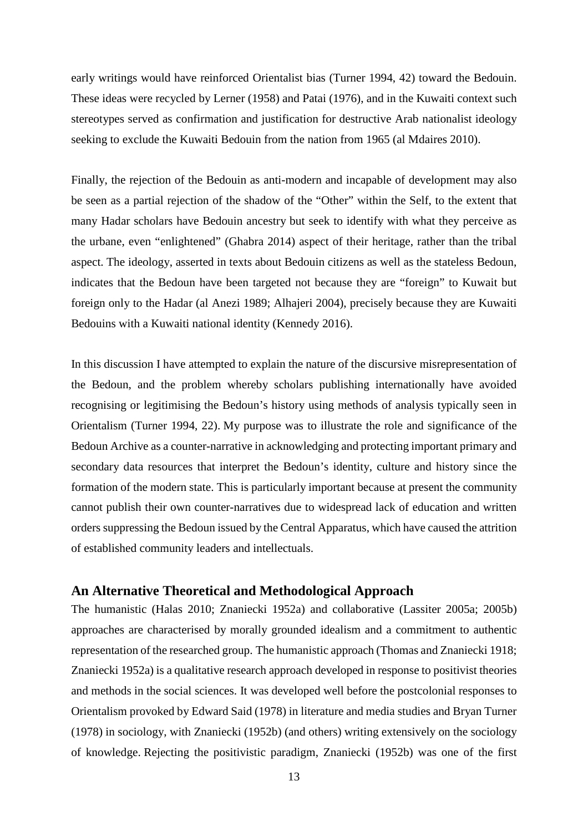early writings would have reinforced Orientalist bias (Turner 1994, 42) toward the Bedouin. These ideas were recycled by Lerner (1958) and Patai (1976), and in the Kuwaiti context such stereotypes served as confirmation and justification for destructive Arab nationalist ideology seeking to exclude the Kuwaiti Bedouin from the nation from 1965 (al Mdaires 2010).

Finally, the rejection of the Bedouin as anti-modern and incapable of development may also be seen as a partial rejection of the shadow of the "Other" within the Self, to the extent that many Hadar scholars have Bedouin ancestry but seek to identify with what they perceive as the urbane, even "enlightened" (Ghabra 2014) aspect of their heritage, rather than the tribal aspect. The ideology, asserted in texts about Bedouin citizens as well as the stateless Bedoun, indicates that the Bedoun have been targeted not because they are "foreign" to Kuwait but foreign only to the Hadar (al Anezi 1989; Alhajeri 2004), precisely because they are Kuwaiti Bedouins with a Kuwaiti national identity (Kennedy 2016).

In this discussion I have attempted to explain the nature of the discursive misrepresentation of the Bedoun, and the problem whereby scholars publishing internationally have avoided recognising or legitimising the Bedoun's history using methods of analysis typically seen in Orientalism (Turner 1994, 22). My purpose was to illustrate the role and significance of the Bedoun Archive as a counter-narrative in acknowledging and protecting important primary and secondary data resources that interpret the Bedoun's identity, culture and history since the formation of the modern state. This is particularly important because at present the community cannot publish their own counter-narratives due to widespread lack of education and written orders suppressing the Bedoun issued by the Central Apparatus, which have caused the attrition of established community leaders and intellectuals.

### **An Alternative Theoretical and Methodological Approach**

The humanistic (Halas 2010; Znaniecki 1952a) and collaborative (Lassiter 2005a; 2005b) approaches are characterised by morally grounded idealism and a commitment to authentic representation of the researched group. The humanistic approach (Thomas and Znaniecki 1918; Znaniecki 1952a) is a qualitative research approach developed in response to positivist theories and methods in the social sciences. It was developed well before the postcolonial responses to Orientalism provoked by Edward Said (1978) in literature and media studies and Bryan Turner (1978) in sociology, with Znaniecki (1952b) (and others) writing extensively on the sociology of knowledge. Rejecting the positivistic paradigm, Znaniecki (1952b) was one of the first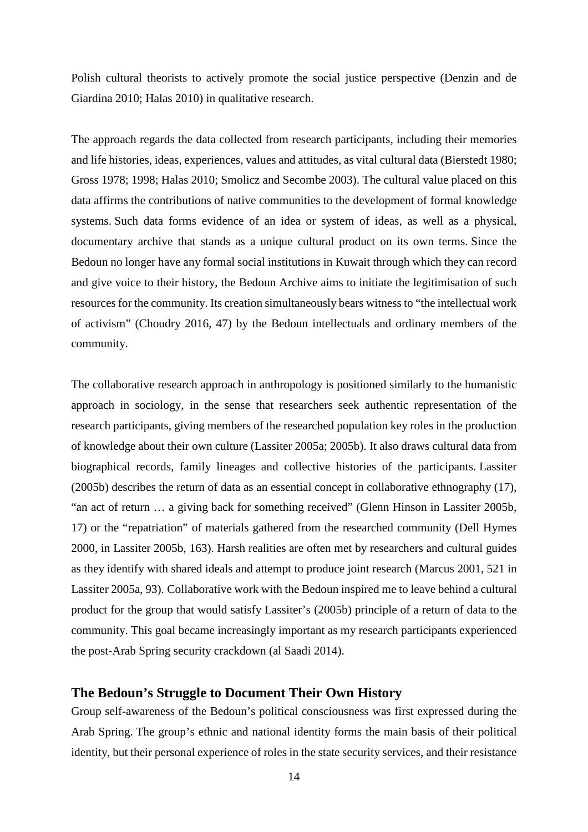Polish cultural theorists to actively promote the social justice perspective (Denzin and de Giardina 2010; Halas 2010) in qualitative research.

The approach regards the data collected from research participants, including their memories and life histories, ideas, experiences, values and attitudes, as vital cultural data (Bierstedt 1980; Gross 1978; 1998; Halas 2010; Smolicz and Secombe 2003). The cultural value placed on this data affirms the contributions of native communities to the development of formal knowledge systems. Such data forms evidence of an idea or system of ideas, as well as a physical, documentary archive that stands as a unique cultural product on its own terms. Since the Bedoun no longer have any formal social institutions in Kuwait through which they can record and give voice to their history, the Bedoun Archive aims to initiate the legitimisation of such resources for the community. Its creation simultaneously bears witness to "the intellectual work of activism" (Choudry 2016, 47) by the Bedoun intellectuals and ordinary members of the community.

The collaborative research approach in anthropology is positioned similarly to the humanistic approach in sociology, in the sense that researchers seek authentic representation of the research participants, giving members of the researched population key roles in the production of knowledge about their own culture (Lassiter 2005a; 2005b). It also draws cultural data from biographical records, family lineages and collective histories of the participants. Lassiter (2005b) describes the return of data as an essential concept in collaborative ethnography (17), "an act of return … a giving back for something received" (Glenn Hinson in Lassiter 2005b, 17) or the "repatriation" of materials gathered from the researched community (Dell Hymes 2000, in Lassiter 2005b, 163). Harsh realities are often met by researchers and cultural guides as they identify with shared ideals and attempt to produce joint research (Marcus 2001, 521 in Lassiter 2005a, 93). Collaborative work with the Bedoun inspired me to leave behind a cultural product for the group that would satisfy Lassiter's (2005b) principle of a return of data to the community. This goal became increasingly important as my research participants experienced the post-Arab Spring security crackdown (al Saadi 2014).

#### **The Bedoun's Struggle to Document Their Own History**

Group self-awareness of the Bedoun's political consciousness was first expressed during the Arab Spring. The group's ethnic and national identity forms the main basis of their political identity, but their personal experience of roles in the state security services, and their resistance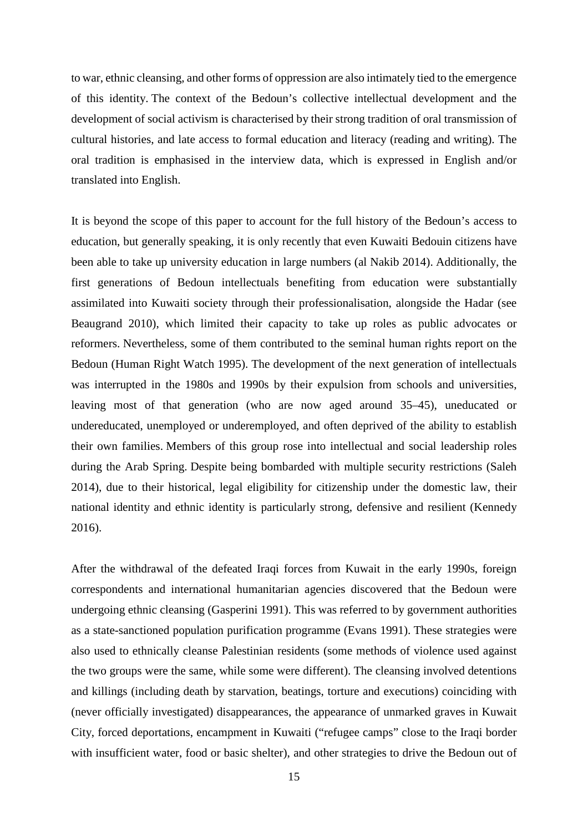to war, ethnic cleansing, and other forms of oppression are also intimately tied to the emergence of this identity. The context of the Bedoun's collective intellectual development and the development of social activism is characterised by their strong tradition of oral transmission of cultural histories, and late access to formal education and literacy (reading and writing). The oral tradition is emphasised in the interview data, which is expressed in English and/or translated into English.

It is beyond the scope of this paper to account for the full history of the Bedoun's access to education, but generally speaking, it is only recently that even Kuwaiti Bedouin citizens have been able to take up university education in large numbers (al Nakib 2014). Additionally, the first generations of Bedoun intellectuals benefiting from education were substantially assimilated into Kuwaiti society through their professionalisation, alongside the Hadar (see Beaugrand 2010), which limited their capacity to take up roles as public advocates or reformers. Nevertheless, some of them contributed to the seminal human rights report on the Bedoun (Human Right Watch 1995). The development of the next generation of intellectuals was interrupted in the 1980s and 1990s by their expulsion from schools and universities, leaving most of that generation (who are now aged around 35–45), uneducated or undereducated, unemployed or underemployed, and often deprived of the ability to establish their own families. Members of this group rose into intellectual and social leadership roles during the Arab Spring. Despite being bombarded with multiple security restrictions (Saleh 2014), due to their historical, legal eligibility for citizenship under the domestic law, their national identity and ethnic identity is particularly strong, defensive and resilient (Kennedy 2016).

After the withdrawal of the defeated Iraqi forces from Kuwait in the early 1990s, foreign correspondents and international humanitarian agencies discovered that the Bedoun were undergoing ethnic cleansing (Gasperini 1991). This was referred to by government authorities as a state-sanctioned population purification programme (Evans 1991). These strategies were also used to ethnically cleanse Palestinian residents (some methods of violence used against the two groups were the same, while some were different). The cleansing involved detentions and killings (including death by starvation, beatings, torture and executions) coinciding with (never officially investigated) disappearances, the appearance of unmarked graves in Kuwait City, forced deportations, encampment in Kuwaiti ("refugee camps" close to the Iraqi border with insufficient water, food or basic shelter), and other strategies to drive the Bedoun out of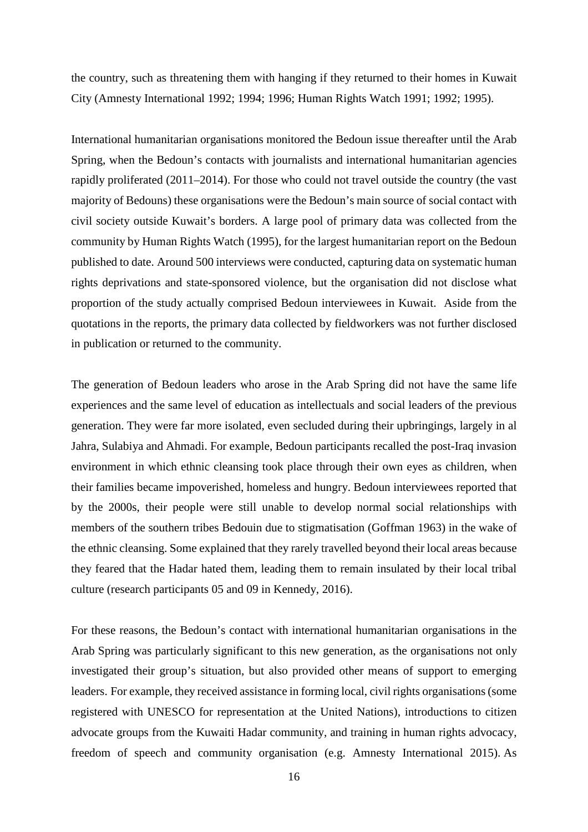the country, such as threatening them with hanging if they returned to their homes in Kuwait City (Amnesty International 1992; 1994; 1996; Human Rights Watch 1991; 1992; 1995).

International humanitarian organisations monitored the Bedoun issue thereafter until the Arab Spring, when the Bedoun's contacts with journalists and international humanitarian agencies rapidly proliferated (2011–2014). For those who could not travel outside the country (the vast majority of Bedouns) these organisations were the Bedoun's main source of social contact with civil society outside Kuwait's borders. A large pool of primary data was collected from the community by Human Rights Watch (1995), for the largest humanitarian report on the Bedoun published to date. Around 500 interviews were conducted, capturing data on systematic human rights deprivations and state-sponsored violence, but the organisation did not disclose what proportion of the study actually comprised Bedoun interviewees in Kuwait. Aside from the quotations in the reports, the primary data collected by fieldworkers was not further disclosed in publication or returned to the community.

The generation of Bedoun leaders who arose in the Arab Spring did not have the same life experiences and the same level of education as intellectuals and social leaders of the previous generation. They were far more isolated, even secluded during their upbringings, largely in al Jahra, Sulabiya and Ahmadi. For example, Bedoun participants recalled the post-Iraq invasion environment in which ethnic cleansing took place through their own eyes as children, when their families became impoverished, homeless and hungry. Bedoun interviewees reported that by the 2000s, their people were still unable to develop normal social relationships with members of the southern tribes Bedouin due to stigmatisation (Goffman 1963) in the wake of the ethnic cleansing. Some explained that they rarely travelled beyond their local areas because they feared that the Hadar hated them, leading them to remain insulated by their local tribal culture (research participants 05 and 09 in Kennedy, 2016).

For these reasons, the Bedoun's contact with international humanitarian organisations in the Arab Spring was particularly significant to this new generation, as the organisations not only investigated their group's situation, but also provided other means of support to emerging leaders. For example, they received assistance in forming local, civil rights organisations (some registered with UNESCO for representation at the United Nations), introductions to citizen advocate groups from the Kuwaiti Hadar community, and training in human rights advocacy, freedom of speech and community organisation (e.g. Amnesty International 2015). As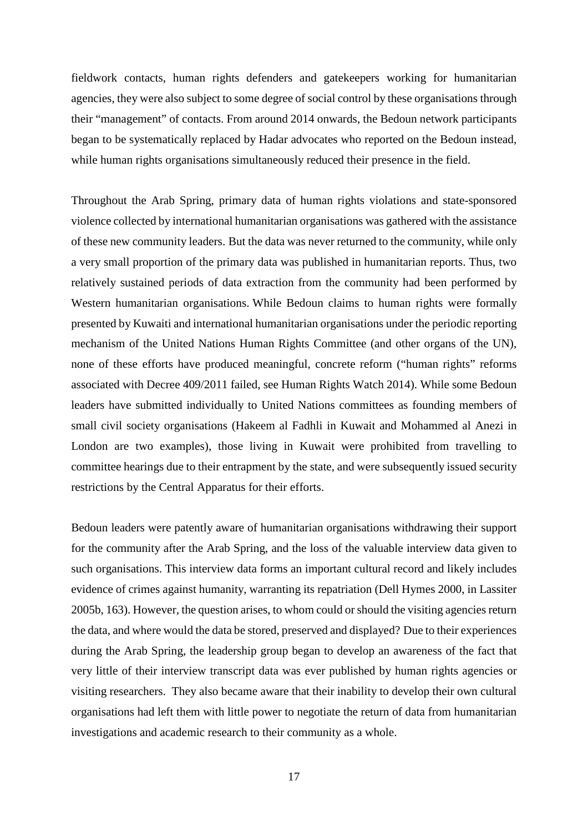fieldwork contacts, human rights defenders and gatekeepers working for humanitarian agencies, they were also subject to some degree of social control by these organisations through their "management" of contacts. From around 2014 onwards, the Bedoun network participants began to be systematically replaced by Hadar advocates who reported on the Bedoun instead, while human rights organisations simultaneously reduced their presence in the field.

Throughout the Arab Spring, primary data of human rights violations and state-sponsored violence collected by international humanitarian organisations was gathered with the assistance of these new community leaders. But the data was never returned to the community, while only a very small proportion of the primary data was published in humanitarian reports. Thus, two relatively sustained periods of data extraction from the community had been performed by Western humanitarian organisations. While Bedoun claims to human rights were formally presented by Kuwaiti and international humanitarian organisations under the periodic reporting mechanism of the United Nations Human Rights Committee (and other organs of the UN), none of these efforts have produced meaningful, concrete reform ("human rights" reforms associated with Decree 409/2011 failed, see Human Rights Watch 2014). While some Bedoun leaders have submitted individually to United Nations committees as founding members of small civil society organisations (Hakeem al Fadhli in Kuwait and Mohammed al Anezi in London are two examples), those living in Kuwait were prohibited from travelling to committee hearings due to their entrapment by the state, and were subsequently issued security restrictions by the Central Apparatus for their efforts.

Bedoun leaders were patently aware of humanitarian organisations withdrawing their support for the community after the Arab Spring, and the loss of the valuable interview data given to such organisations. This interview data forms an important cultural record and likely includes evidence of crimes against humanity, warranting its repatriation (Dell Hymes 2000, in Lassiter 2005b, 163). However, the question arises, to whom could or should the visiting agencies return the data, and where would the data be stored, preserved and displayed? Due to their experiences during the Arab Spring, the leadership group began to develop an awareness of the fact that very little of their interview transcript data was ever published by human rights agencies or visiting researchers. They also became aware that their inability to develop their own cultural organisations had left them with little power to negotiate the return of data from humanitarian investigations and academic research to their community as a whole.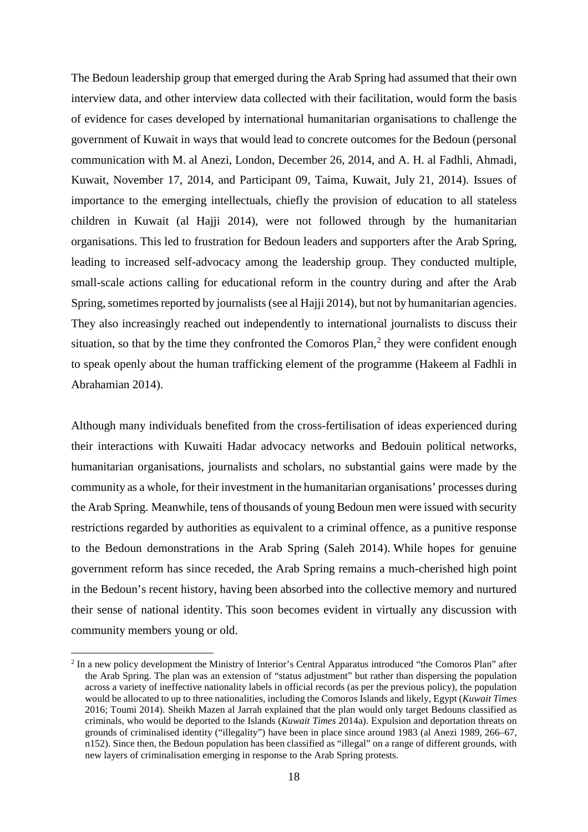The Bedoun leadership group that emerged during the Arab Spring had assumed that their own interview data, and other interview data collected with their facilitation, would form the basis of evidence for cases developed by international humanitarian organisations to challenge the government of Kuwait in ways that would lead to concrete outcomes for the Bedoun (personal communication with M. al Anezi, London, December 26, 2014, and A. H. al Fadhli, Ahmadi, Kuwait, November 17, 2014, and Participant 09, Taima, Kuwait, July 21, 2014). Issues of importance to the emerging intellectuals, chiefly the provision of education to all stateless children in Kuwait (al Hajji 2014), were not followed through by the humanitarian organisations. This led to frustration for Bedoun leaders and supporters after the Arab Spring, leading to increased self-advocacy among the leadership group. They conducted multiple, small-scale actions calling for educational reform in the country during and after the Arab Spring, sometimes reported by journalists (see al Hajji 2014), but not by humanitarian agencies. They also increasingly reached out independently to international journalists to discuss their situation, so that by the time they confronted the Comoros Plan, $<sup>2</sup>$  $<sup>2</sup>$  $<sup>2</sup>$  they were confident enough</sup> to speak openly about the human trafficking element of the programme (Hakeem al Fadhli in Abrahamian 2014).

Although many individuals benefited from the cross-fertilisation of ideas experienced during their interactions with Kuwaiti Hadar advocacy networks and Bedouin political networks, humanitarian organisations, journalists and scholars, no substantial gains were made by the community as a whole, for their investment in the humanitarian organisations' processes during the Arab Spring. Meanwhile, tens of thousands of young Bedoun men were issued with security restrictions regarded by authorities as equivalent to a criminal offence, as a punitive response to the Bedoun demonstrations in the Arab Spring (Saleh 2014). While hopes for genuine government reform has since receded, the Arab Spring remains a much-cherished high point in the Bedoun's recent history, having been absorbed into the collective memory and nurtured their sense of national identity. This soon becomes evident in virtually any discussion with community members young or old.

<span id="page-17-0"></span><sup>&</sup>lt;sup>2</sup> In a new policy development the Ministry of Interior's Central Apparatus introduced "the Comoros Plan" after the Arab Spring. The plan was an extension of "status adjustment" but rather than dispersing the population across a variety of ineffective nationality labels in official records (as per the previous policy), the population would be allocated to up to three nationalities, including the Comoros Islands and likely, Egypt (*Kuwait Times* 2016; Toumi 2014). Sheikh Mazen al Jarrah explained that the plan would only target Bedouns classified as criminals, who would be deported to the Islands (*Kuwait Times* 2014a). Expulsion and deportation threats on grounds of criminalised identity ("illegality") have been in place since around 1983 (al Anezi 1989, 266–67, n152). Since then, the Bedoun population has been classified as "illegal" on a range of different grounds, with new layers of criminalisation emerging in response to the Arab Spring protests.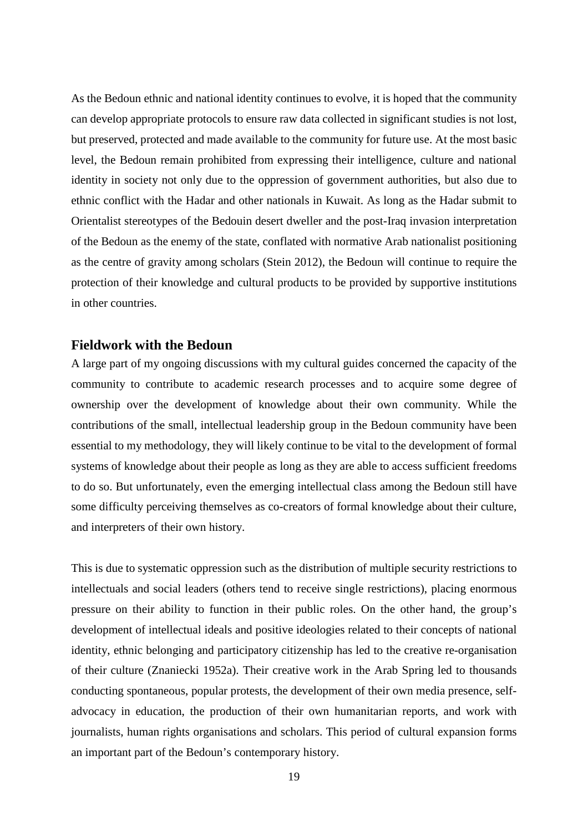As the Bedoun ethnic and national identity continues to evolve, it is hoped that the community can develop appropriate protocols to ensure raw data collected in significant studies is not lost, but preserved, protected and made available to the community for future use. At the most basic level, the Bedoun remain prohibited from expressing their intelligence, culture and national identity in society not only due to the oppression of government authorities, but also due to ethnic conflict with the Hadar and other nationals in Kuwait. As long as the Hadar submit to Orientalist stereotypes of the Bedouin desert dweller and the post-Iraq invasion interpretation of the Bedoun as the enemy of the state, conflated with normative Arab nationalist positioning as the centre of gravity among scholars (Stein 2012), the Bedoun will continue to require the protection of their knowledge and cultural products to be provided by supportive institutions in other countries.

### **Fieldwork with the Bedoun**

A large part of my ongoing discussions with my cultural guides concerned the capacity of the community to contribute to academic research processes and to acquire some degree of ownership over the development of knowledge about their own community. While the contributions of the small, intellectual leadership group in the Bedoun community have been essential to my methodology, they will likely continue to be vital to the development of formal systems of knowledge about their people as long as they are able to access sufficient freedoms to do so. But unfortunately, even the emerging intellectual class among the Bedoun still have some difficulty perceiving themselves as co-creators of formal knowledge about their culture, and interpreters of their own history.

This is due to systematic oppression such as the distribution of multiple security restrictions to intellectuals and social leaders (others tend to receive single restrictions), placing enormous pressure on their ability to function in their public roles. On the other hand, the group's development of intellectual ideals and positive ideologies related to their concepts of national identity, ethnic belonging and participatory citizenship has led to the creative re-organisation of their culture (Znaniecki 1952a). Their creative work in the Arab Spring led to thousands conducting spontaneous, popular protests, the development of their own media presence, selfadvocacy in education, the production of their own humanitarian reports, and work with journalists, human rights organisations and scholars. This period of cultural expansion forms an important part of the Bedoun's contemporary history.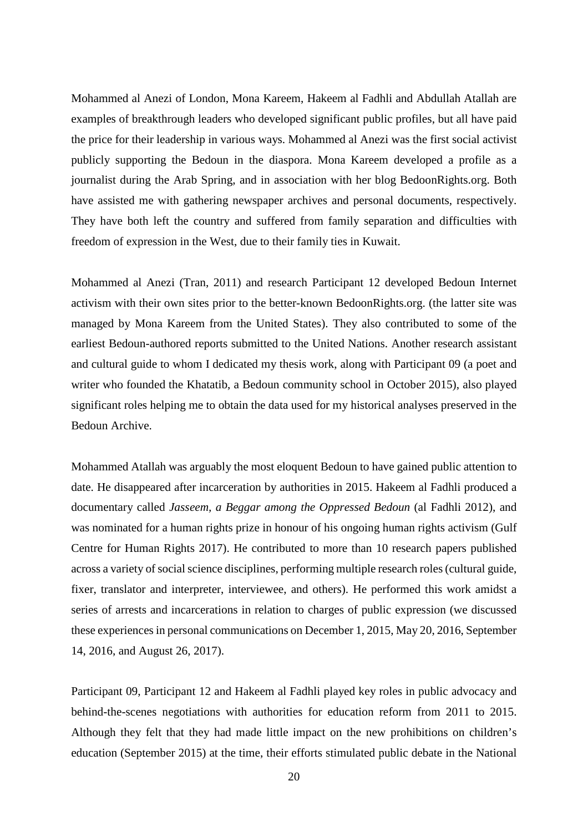Mohammed al Anezi of London, Mona Kareem, Hakeem al Fadhli and Abdullah Atallah are examples of breakthrough leaders who developed significant public profiles, but all have paid the price for their leadership in various ways. Mohammed al Anezi was the first social activist publicly supporting the Bedoun in the diaspora. Mona Kareem developed a profile as a journalist during the Arab Spring, and in association with her blog BedoonRights.org. Both have assisted me with gathering newspaper archives and personal documents, respectively. They have both left the country and suffered from family separation and difficulties with freedom of expression in the West, due to their family ties in Kuwait.

Mohammed al Anezi (Tran, 2011) and research Participant 12 developed Bedoun Internet activism with their own sites prior to the better-known BedoonRights.org. (the latter site was managed by Mona Kareem from the United States). They also contributed to some of the earliest Bedoun-authored reports submitted to the United Nations. Another research assistant and cultural guide to whom I dedicated my thesis work, along with Participant 09 (a poet and writer who founded the Khatatib, a Bedoun community school in October 2015), also played significant roles helping me to obtain the data used for my historical analyses preserved in the Bedoun Archive.

Mohammed Atallah was arguably the most eloquent Bedoun to have gained public attention to date. He disappeared after incarceration by authorities in 2015. Hakeem al Fadhli produced a documentary called *Jasseem, a Beggar among the Oppressed Bedoun* (al Fadhli 2012), and was nominated for a human rights prize in honour of his ongoing human rights activism (Gulf Centre for Human Rights 2017). He contributed to more than 10 research papers published across a variety of social science disciplines, performing multiple research roles (cultural guide, fixer, translator and interpreter, interviewee, and others). He performed this work amidst a series of arrests and incarcerations in relation to charges of public expression (we discussed these experiences in personal communications on December 1, 2015, May 20, 2016, September 14, 2016, and August 26, 2017).

Participant 09, Participant 12 and Hakeem al Fadhli played key roles in public advocacy and behind-the-scenes negotiations with authorities for education reform from 2011 to 2015. Although they felt that they had made little impact on the new prohibitions on children's education (September 2015) at the time, their efforts stimulated public debate in the National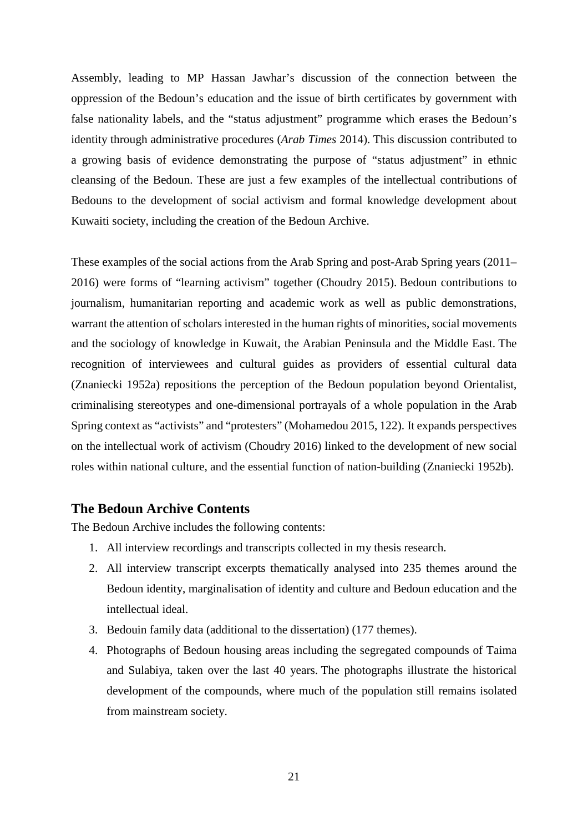Assembly, leading to MP Hassan Jawhar's discussion of the connection between the oppression of the Bedoun's education and the issue of birth certificates by government with false nationality labels, and the "status adjustment" programme which erases the Bedoun's identity through administrative procedures (*Arab Times* 2014). This discussion contributed to a growing basis of evidence demonstrating the purpose of "status adjustment" in ethnic cleansing of the Bedoun. These are just a few examples of the intellectual contributions of Bedouns to the development of social activism and formal knowledge development about Kuwaiti society, including the creation of the Bedoun Archive.

These examples of the social actions from the Arab Spring and post-Arab Spring years (2011– 2016) were forms of "learning activism" together (Choudry 2015). Bedoun contributions to journalism, humanitarian reporting and academic work as well as public demonstrations, warrant the attention of scholars interested in the human rights of minorities, social movements and the sociology of knowledge in Kuwait, the Arabian Peninsula and the Middle East. The recognition of interviewees and cultural guides as providers of essential cultural data (Znaniecki 1952a) repositions the perception of the Bedoun population beyond Orientalist, criminalising stereotypes and one-dimensional portrayals of a whole population in the Arab Spring context as "activists" and "protesters" (Mohamedou 2015, 122). It expands perspectives on the intellectual work of activism (Choudry 2016) linked to the development of new social roles within national culture, and the essential function of nation-building (Znaniecki 1952b).

### **The Bedoun Archive Contents**

The Bedoun Archive includes the following contents:

- 1. All interview recordings and transcripts collected in my thesis research.
- 2. All interview transcript excerpts thematically analysed into 235 themes around the Bedoun identity, marginalisation of identity and culture and Bedoun education and the intellectual ideal.
- 3. Bedouin family data (additional to the dissertation) (177 themes).
- 4. Photographs of Bedoun housing areas including the segregated compounds of Taima and Sulabiya, taken over the last 40 years. The photographs illustrate the historical development of the compounds, where much of the population still remains isolated from mainstream society.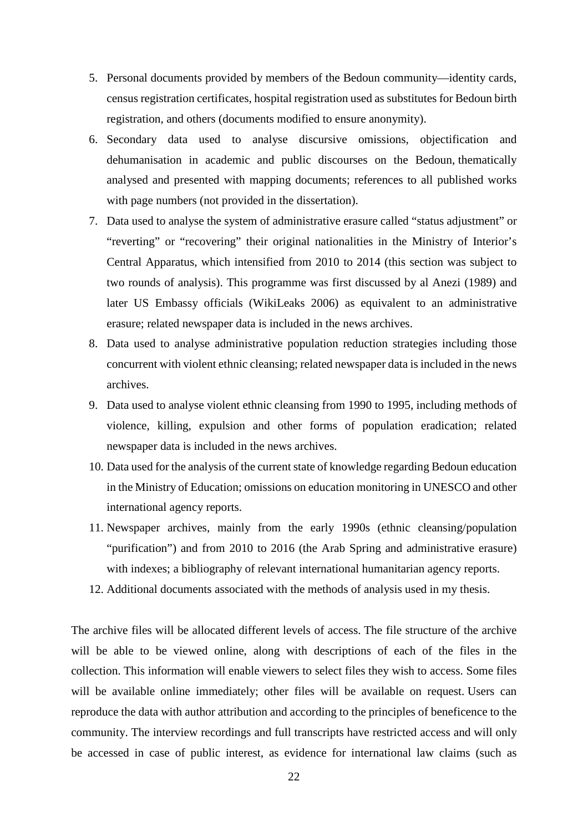- 5. Personal documents provided by members of the Bedoun community—identity cards, census registration certificates, hospital registration used as substitutes for Bedoun birth registration, and others (documents modified to ensure anonymity).
- 6. Secondary data used to analyse discursive omissions, objectification and dehumanisation in academic and public discourses on the Bedoun, thematically analysed and presented with mapping documents; references to all published works with page numbers (not provided in the dissertation).
- 7. Data used to analyse the system of administrative erasure called "status adjustment" or "reverting" or "recovering" their original nationalities in the Ministry of Interior's Central Apparatus, which intensified from 2010 to 2014 (this section was subject to two rounds of analysis). This programme was first discussed by al Anezi (1989) and later US Embassy officials (WikiLeaks 2006) as equivalent to an administrative erasure; related newspaper data is included in the news archives.
- 8. Data used to analyse administrative population reduction strategies including those concurrent with violent ethnic cleansing; related newspaper data is included in the news archives.
- 9. Data used to analyse violent ethnic cleansing from 1990 to 1995, including methods of violence, killing, expulsion and other forms of population eradication; related newspaper data is included in the news archives.
- 10. Data used for the analysis of the current state of knowledge regarding Bedoun education in the Ministry of Education; omissions on education monitoring in UNESCO and other international agency reports.
- 11. Newspaper archives, mainly from the early 1990s (ethnic cleansing/population "purification") and from 2010 to 2016 (the Arab Spring and administrative erasure) with indexes; a bibliography of relevant international humanitarian agency reports.
- 12. Additional documents associated with the methods of analysis used in my thesis.

The archive files will be allocated different levels of access. The file structure of the archive will be able to be viewed online, along with descriptions of each of the files in the collection. This information will enable viewers to select files they wish to access. Some files will be available online immediately; other files will be available on request. Users can reproduce the data with author attribution and according to the principles of beneficence to the community. The interview recordings and full transcripts have restricted access and will only be accessed in case of public interest, as evidence for international law claims (such as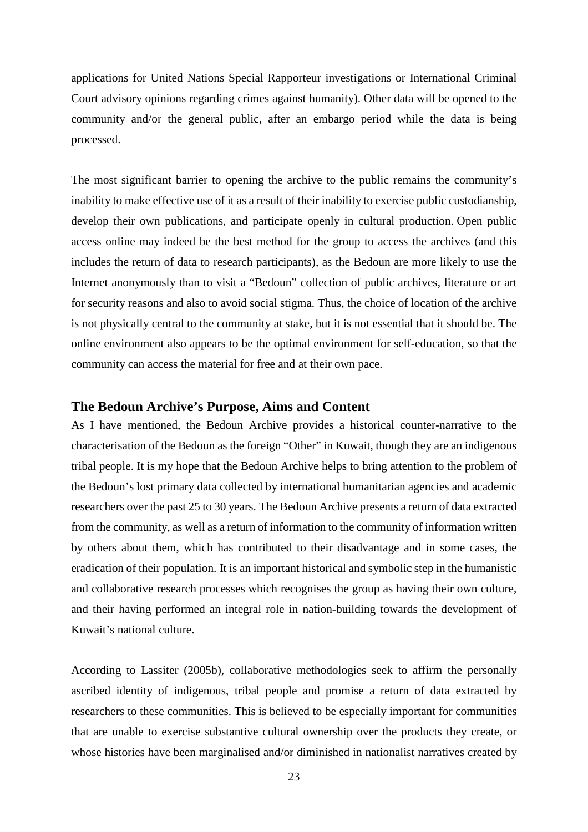applications for United Nations Special Rapporteur investigations or International Criminal Court advisory opinions regarding crimes against humanity). Other data will be opened to the community and/or the general public, after an embargo period while the data is being processed.

The most significant barrier to opening the archive to the public remains the community's inability to make effective use of it as a result of their inability to exercise public custodianship, develop their own publications, and participate openly in cultural production. Open public access online may indeed be the best method for the group to access the archives (and this includes the return of data to research participants), as the Bedoun are more likely to use the Internet anonymously than to visit a "Bedoun" collection of public archives, literature or art for security reasons and also to avoid social stigma. Thus, the choice of location of the archive is not physically central to the community at stake, but it is not essential that it should be. The online environment also appears to be the optimal environment for self-education, so that the community can access the material for free and at their own pace.

### **The Bedoun Archive's Purpose, Aims and Content**

As I have mentioned, the Bedoun Archive provides a historical counter-narrative to the characterisation of the Bedoun as the foreign "Other" in Kuwait, though they are an indigenous tribal people. It is my hope that the Bedoun Archive helps to bring attention to the problem of the Bedoun's lost primary data collected by international humanitarian agencies and academic researchers over the past 25 to 30 years. The Bedoun Archive presents a return of data extracted from the community, as well as a return of information to the community of information written by others about them, which has contributed to their disadvantage and in some cases, the eradication of their population. It is an important historical and symbolic step in the humanistic and collaborative research processes which recognises the group as having their own culture, and their having performed an integral role in nation-building towards the development of Kuwait's national culture.

According to Lassiter (2005b), collaborative methodologies seek to affirm the personally ascribed identity of indigenous, tribal people and promise a return of data extracted by researchers to these communities. This is believed to be especially important for communities that are unable to exercise substantive cultural ownership over the products they create, or whose histories have been marginalised and/or diminished in nationalist narratives created by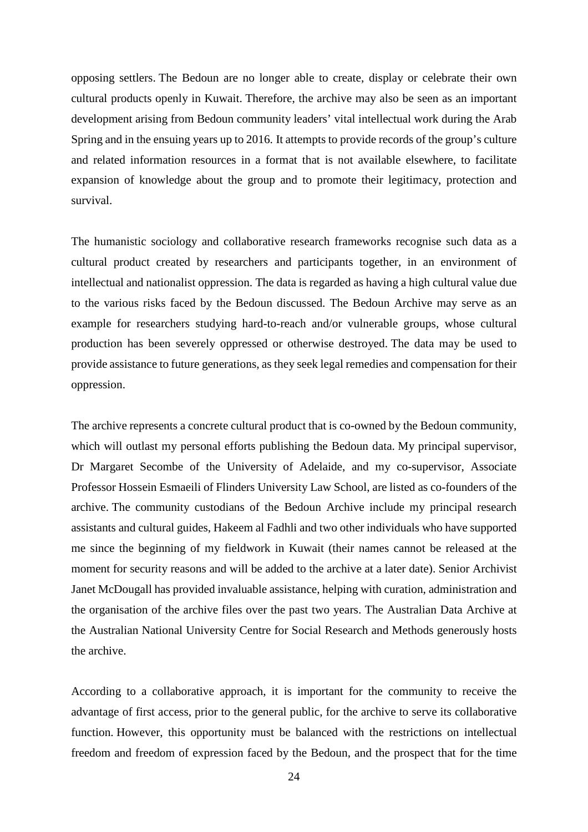opposing settlers. The Bedoun are no longer able to create, display or celebrate their own cultural products openly in Kuwait. Therefore, the archive may also be seen as an important development arising from Bedoun community leaders' vital intellectual work during the Arab Spring and in the ensuing years up to 2016. It attempts to provide records of the group's culture and related information resources in a format that is not available elsewhere, to facilitate expansion of knowledge about the group and to promote their legitimacy, protection and survival.

The humanistic sociology and collaborative research frameworks recognise such data as a cultural product created by researchers and participants together, in an environment of intellectual and nationalist oppression. The data is regarded as having a high cultural value due to the various risks faced by the Bedoun discussed. The Bedoun Archive may serve as an example for researchers studying hard-to-reach and/or vulnerable groups, whose cultural production has been severely oppressed or otherwise destroyed. The data may be used to provide assistance to future generations, as they seek legal remedies and compensation for their oppression.

The archive represents a concrete cultural product that is co-owned by the Bedoun community, which will outlast my personal efforts publishing the Bedoun data. My principal supervisor, Dr Margaret Secombe of the University of Adelaide, and my co-supervisor, Associate Professor Hossein Esmaeili of Flinders University Law School, are listed as co-founders of the archive. The community custodians of the Bedoun Archive include my principal research assistants and cultural guides, Hakeem al Fadhli and two other individuals who have supported me since the beginning of my fieldwork in Kuwait (their names cannot be released at the moment for security reasons and will be added to the archive at a later date). Senior Archivist Janet McDougall has provided invaluable assistance, helping with curation, administration and the organisation of the archive files over the past two years. The Australian Data Archive at the Australian National University Centre for Social Research and Methods generously hosts the archive.

According to a collaborative approach, it is important for the community to receive the advantage of first access, prior to the general public, for the archive to serve its collaborative function. However, this opportunity must be balanced with the restrictions on intellectual freedom and freedom of expression faced by the Bedoun, and the prospect that for the time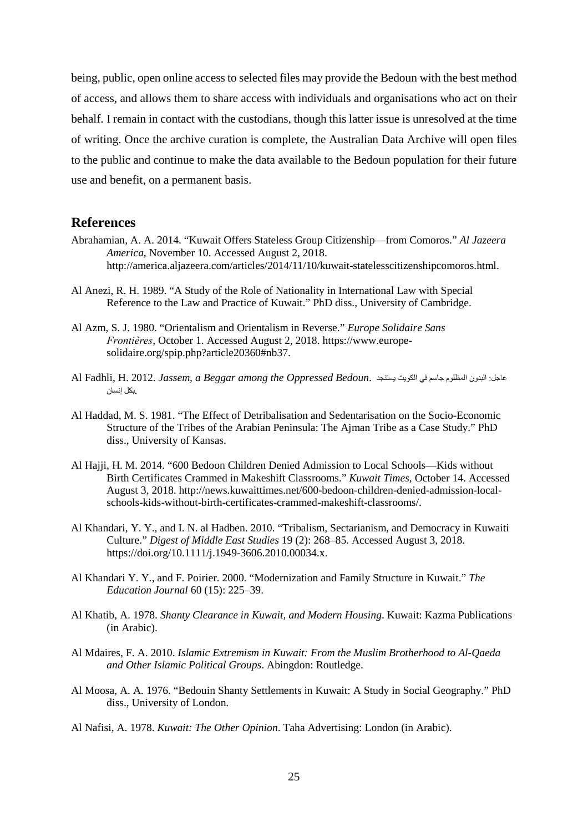being, public, open online access to selected files may provide the Bedoun with the best method of access, and allows them to share access with individuals and organisations who act on their behalf. I remain in contact with the custodians, though this latter issue is unresolved at the time of writing. Once the archive curation is complete, the Australian Data Archive will open files to the public and continue to make the data available to the Bedoun population for their future use and benefit, on a permanent basis.

#### **References**

- Abrahamian, A. A. 2014. "Kuwait Offers Stateless Group Citizenship—from Comoros." *Al Jazeera America*, November 10. Accessed August 2, 2018. [http://america.aljazeera.com/articles/2014/11/10/kuwait-statelesscitizenshipcomoros.html.](http://america.aljazeera.com/articles/2014/11/10/kuwait-statelesscitizenshipcomoros.html)
- Al Anezi, R. H. 1989. "A Study of the Role of Nationality in International Law with Special Reference to the Law and Practice of Kuwait." PhD diss., University of Cambridge.
- Al Azm, S. J. 1980. "Orientalism and Orientalism in Reverse." *Europe Solidaire Sans Frontiѐres*, October 1. Accessed August 2, 2018. https://www.europesolidaire.org/spip.php?article20360#nb37.
- Al Fadhli, H. 2012. *Jassem, a Beggar among the Oppressed Bedoun*. یستنجد الكویت في جاسم المظلوم البدون :عاجل .بكل إنسان
- Al Haddad, M. S. 1981. "The Effect of Detribalisation and Sedentarisation on the Socio-Economic Structure of the Tribes of the Arabian Peninsula: The Ajman Tribe as a Case Study." PhD diss., University of Kansas.
- Al Hajji, H. M. 2014. "600 Bedoon Children Denied Admission to Local Schools—Kids without Birth Certificates Crammed in Makeshift Classrooms." *Kuwait Times*, October 14. Accessed August 3, 2018. [http://news.kuwaittimes.net/600-bedoon-children-denied-admission-local](http://news.kuwaittimes.net/600-bedoon-children-denied-admission-local-schools-kids-without-birth-certificates-crammed-makeshift-classrooms/)[schools-kids-without-birth-certificates-crammed-makeshift-classrooms/.](http://news.kuwaittimes.net/600-bedoon-children-denied-admission-local-schools-kids-without-birth-certificates-crammed-makeshift-classrooms/)
- Al Khandari, Y. Y., and I. N. al Hadben. 2010. "Tribalism, Sectarianism, and Democracy in Kuwaiti Culture." *Digest of Middle East Studies* 19 (2): 268–85. Accessed August 3, 2018. [https://doi.org/10.1111/j.1949-3606.2010.00034.x.](https://doi.org/10.1111/j.1949-3606.2010.00034.x)
- Al Khandari Y. Y., and F. Poirier. 2000. "Modernization and Family Structure in Kuwait." *The Education Journal* 60 (15): 225–39.
- Al Khatib, A. 1978. *Shanty Clearance in Kuwait, and Modern Housing*. Kuwait: Kazma Publications (in Arabic).
- Al Mdaires, F. A. 2010. *Islamic Extremism in Kuwait: From the Muslim Brotherhood to Al-Qaeda and Other Islamic Political Groups*. Abingdon: Routledge.
- Al Moosa, A. A. 1976. "Bedouin Shanty Settlements in Kuwait: A Study in Social Geography." PhD diss., University of London.
- Al Nafisi, A. 1978. *Kuwait: The Other Opinion*. Taha Advertising: London (in Arabic).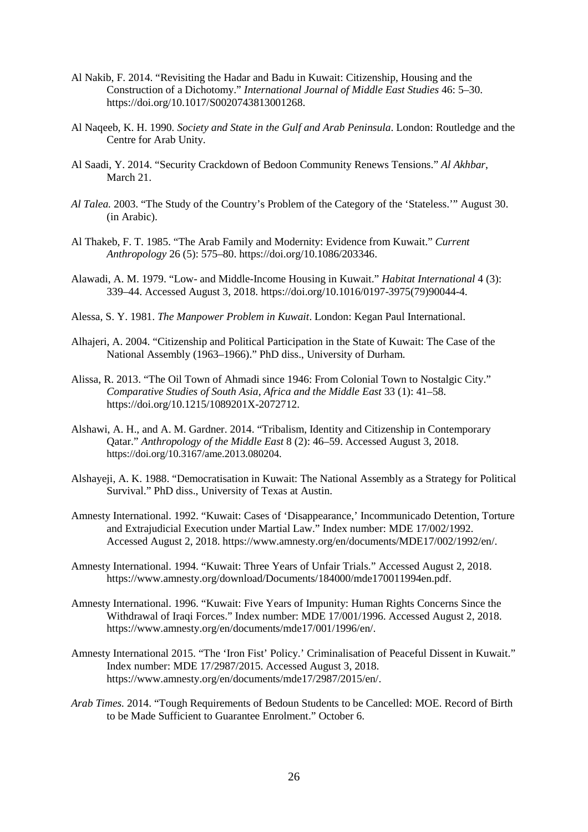- Al Nakib, F. 2014. "Revisiting the Hadar and Badu in Kuwait: Citizenship, Housing and the Construction of a Dichotomy." *International Journal of Middle East Studies* 46: 5–30. [https://doi.org/10.1017/S0020743813001268.](https://doi.org/10.1017/S0020743813001268)
- Al Naqeeb, K. H. 1990*. Society and State in the Gulf and Arab Peninsula*. London: Routledge and the Centre for Arab Unity.
- Al Saadi, Y. 2014. "Security Crackdown of Bedoon Community Renews Tensions." *Al Akhbar*, March 21.
- *Al Talea.* 2003. "The Study of the Country's Problem of the Category of the 'Stateless.'" August 30. (in Arabic).
- Al Thakeb, F. T. 1985. "The Arab Family and Modernity: Evidence from Kuwait." *Current Anthropology* 26 (5): 575–80. [https://doi.org/10.1086/203346.](https://doi.org/10.1086/203346)
- Alawadi, A. M. 1979. "Low- and Middle-Income Housing in Kuwait." *Habitat International* 4 (3): 339–44. Accessed August 3, 2018. [https://doi.org/10.1016/0197-3975\(79\)90044-4.](https://doi.org/10.1016/0197-3975(79)90044-4)
- Alessa, S. Y. 1981. *The Manpower Problem in Kuwait*. London: Kegan Paul International.
- Alhajeri, A. 2004. "Citizenship and Political Participation in the State of Kuwait: The Case of the National Assembly (1963–1966)." PhD diss., University of Durham.
- Alissa, R. 2013. "The Oil Town of Ahmadi since 1946: From Colonial Town to Nostalgic City." *Comparative Studies of South Asia, Africa and the Middle East* 33 (1): 41–58. [https://doi.org/10.1215/1089201X-2072712.](https://doi.org/10.1215/1089201X-2072712)
- Alshawi, A. H., and A. M. Gardner. 2014. "Tribalism, Identity and Citizenship in Contemporary Qatar." *Anthropology of the Middle East* 8 (2): 46–59. Accessed August 3, 2018. [https://doi.org/10.3167/ame.2013.080204.](https://doi.org/10.3167/ame.2013.080204)
- Alshayeji, A. K. 1988. "Democratisation in Kuwait: The National Assembly as a Strategy for Political Survival." PhD diss., University of Texas at Austin.
- Amnesty International. 1992. "Kuwait: Cases of 'Disappearance,' Incommunicado Detention, Torture and Extrajudicial Execution under Martial Law." Index number: MDE 17/002/1992. Accessed August 2, 2018. [https://www.amnesty.org/en/documents/MDE17/002/1992/en/.](https://www.amnesty.org/en/documents/MDE17/002/1992/en/)
- Amnesty International. 1994. "Kuwait: Three Years of Unfair Trials." Accessed August 2, 2018. [https://www.amnesty.org/download/Documents/184000/mde170011994en.pdf.](https://www.amnesty.org/download/Documents/184000/mde170011994en.pdf)
- Amnesty International. 1996. "Kuwait: Five Years of Impunity: Human Rights Concerns Since the Withdrawal of Iraqi Forces." Index number: MDE 17/001/1996. Accessed August 2, 2018. [https://www.amnesty.org/en/documents/mde17/001/1996/en/.](https://www.amnesty.org/en/documents/mde17/001/1996/en/)
- Amnesty International 2015. "The 'Iron Fist' Policy.' Criminalisation of Peaceful Dissent in Kuwait." Index number: MDE 17/2987/2015. Accessed August 3, 2018. [https://www.amnesty.org/en/documents/mde17/2987/2015/en/.](https://www.amnesty.org/en/documents/mde17/2987/2015/en/)
- *Arab Times.* 2014. "Tough Requirements of Bedoun Students to be Cancelled: MOE. Record of Birth to be Made Sufficient to Guarantee Enrolment." October 6.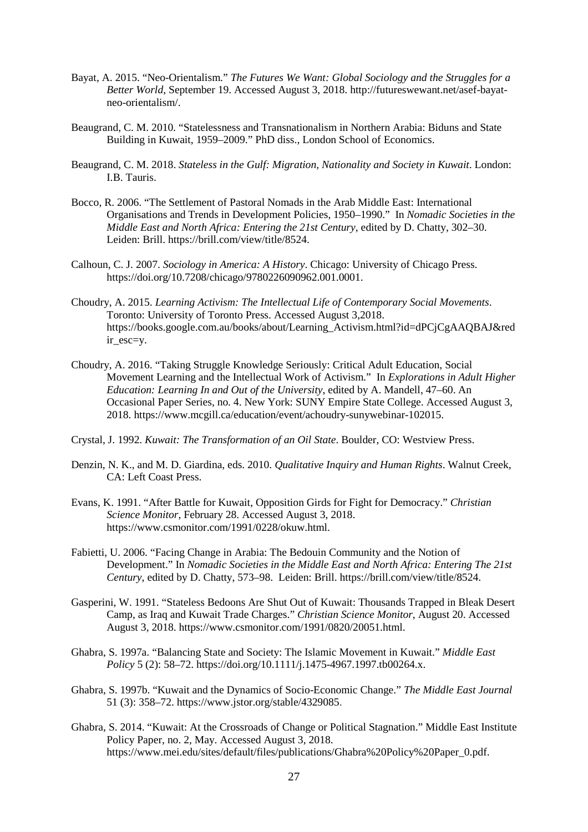- Bayat, A. 2015. "Neo-Orientalism." *The Futures We Want: Global Sociology and the Struggles for a Better World*, September 19. Accessed August 3, 2018. [http://futureswewant.net/asef-bayat](http://futureswewant.net/asef-bayat-neo-orientalism/)[neo-orientalism/.](http://futureswewant.net/asef-bayat-neo-orientalism/)
- Beaugrand, C. M. 2010*.* "Statelessness and Transnationalism in Northern Arabia: Biduns and State Building in Kuwait, 1959–2009." PhD diss., London School of Economics.
- Beaugrand, C. M. 2018. *Stateless in the Gulf: Migration, Nationality and Society in Kuwait*. London: I.B. Tauris.
- Bocco, R. 2006. "The Settlement of Pastoral Nomads in the Arab Middle East: International Organisations and Trends in Development Policies, 1950–1990." In *Nomadic Societies in the Middle East and North Africa: Entering the 21st Century*, edited by D. Chatty, 302–30. Leiden: Brill. [https://brill.com/view/title/8524.](https://brill.com/view/title/8524)
- Calhoun, C. J. 2007. *Sociology in America: A History*. Chicago: University of Chicago Press. [https://doi.org/10.7208/chicago/9780226090962.001.0001.](https://doi.org/10.7208/chicago/9780226090962.001.0001)
- Choudry, A. 2015. *Learning Activism: The Intellectual Life of Contemporary Social Movements*. Toronto: University of Toronto Press. Accessed August 3,2018. [https://books.google.com.au/books/about/Learning\\_Activism.html?id=dPCjCgAAQBAJ&red](https://books.google.com.au/books/about/Learning_Activism.html?id=dPCjCgAAQBAJ&redir_esc=y) [ir\\_esc=y.](https://books.google.com.au/books/about/Learning_Activism.html?id=dPCjCgAAQBAJ&redir_esc=y)
- Choudry, A. 2016. "Taking Struggle Knowledge Seriously: Critical Adult Education, Social Movement Learning and the Intellectual Work of Activism." In *Explorations in Adult Higher Education: Learning In and Out of the University*, edited by A. Mandell, 47–60. An Occasional Paper Series, no. 4. New York: SUNY Empire State College. Accessed August 3, 2018. [https://www.mcgill.ca/education/event/achoudry-sunywebinar-102015.](https://www.mcgill.ca/education/event/achoudry-sunywebinar-102015)
- Crystal, J. 1992. *Kuwait: The Transformation of an Oil State*. Boulder, CO: Westview Press.
- Denzin, N. K., and M. D. Giardina, eds. 2010. *Qualitative Inquiry and Human Rights*. Walnut Creek, CA: Left Coast Press.
- Evans, K. 1991. "After Battle for Kuwait, Opposition Girds for Fight for Democracy." *Christian Science Monitor*, February 28. Accessed August 3, 2018. [https://www.csmonitor.com/1991/0228/okuw.html.](https://www.csmonitor.com/1991/0228/okuw.html)
- Fabietti, U. 2006. "Facing Change in Arabia: The Bedouin Community and the Notion of Development." In *Nomadic Societies in the Middle East and North Africa: Entering The 21st Century*, edited by D. Chatty, 573–98. Leiden: Brill. [https://brill.com/view/title/8524.](https://brill.com/view/title/8524)
- Gasperini, W. 1991. "Stateless Bedoons Are Shut Out of Kuwait: Thousands Trapped in Bleak Desert Camp, as Iraq and Kuwait Trade Charges." *Christian Science Monitor*, August 20. Accessed August 3, 2018. [https://www.csmonitor.com/1991/0820/20051.html.](https://www.csmonitor.com/1991/0820/20051.html)
- Ghabra, S. 1997a. "Balancing State and Society: The Islamic Movement in Kuwait." *Middle East Policy* 5 (2): 58–72[. https://doi.org/10.1111/j.1475-4967.1997.tb00264.x.](https://doi.org/10.1111/j.1475-4967.1997.tb00264.x)
- Ghabra, S. 1997b. "Kuwait and the Dynamics of Socio-Economic Change." *The Middle East Journal* 51 (3): 358–72. [https://www.jstor.org/stable/4329085.](https://www.jstor.org/stable/4329085)
- Ghabra, S. 2014. "Kuwait: At the Crossroads of Change or Political Stagnation." Middle East Institute Policy Paper, no. 2, May. Accessed August 3, 2018. [https://www.mei.edu/sites/default/files/publications/Ghabra%20Policy%20Paper\\_0.pdf.](https://www.mei.edu/sites/default/files/publications/Ghabra%20Policy%20Paper_0.pdf)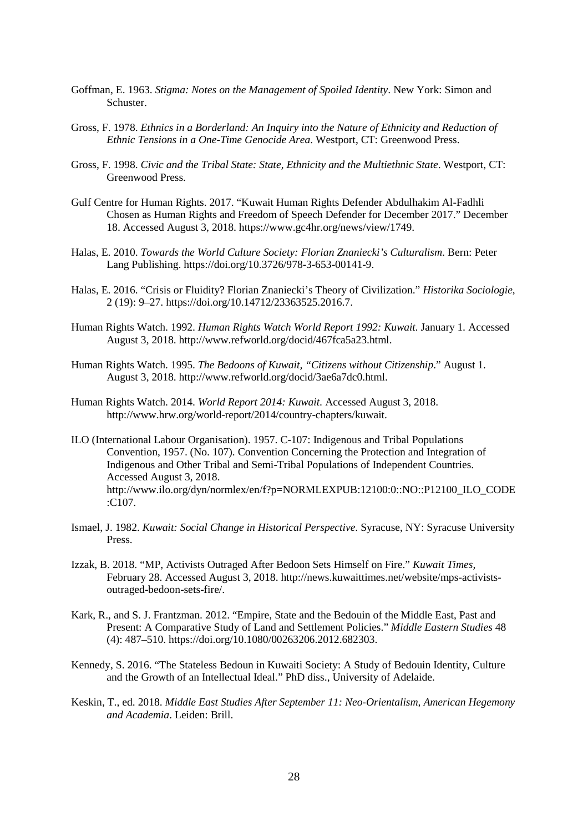- Goffman, E. 1963. *Stigma: Notes on the Management of Spoiled Identity*. New York: Simon and Schuster.
- Gross, F. 1978. *Ethnics in a Borderland: An Inquiry into the Nature of Ethnicity and Reduction of Ethnic Tensions in a One-Time Genocide Area*. Westport, CT: Greenwood Press.
- Gross, F. 1998. *Civic and the Tribal State: State, Ethnicity and the Multiethnic State*. Westport, CT: Greenwood Press.
- Gulf Centre for Human Rights. 2017. "Kuwait Human Rights Defender Abdulhakim Al-Fadhli Chosen as Human Rights and Freedom of Speech Defender for December 2017." December 18. Accessed August 3, 2018. [https://www.gc4hr.org/news/view/1749.](https://www.gc4hr.org/news/view/1749)
- Halas, E. 2010. *Towards the World Culture Society: Florian Znaniecki's Culturalism*. Bern: Peter Lang Publishing. [https://doi.org/10.3726/978-3-653-00141-9.](https://doi.org/10.3726/978-3-653-00141-9)
- Halas, E. 2016. "Crisis or Fluidity? Florian Znaniecki's Theory of Civilization." *Historika Sociologie*, 2 (19): 9–27. [https://doi.org/10.14712/23363525.2016.7.](https://doi.org/10.14712/23363525.2016.7)
- Human Rights Watch. 1992. *Human Rights Watch World Report 1992: Kuwait.* January 1*.* Accessed August 3, 2018. [http://www.refworld.org/docid/467fca5a23.html.](http://www.refworld.org/docid/467fca5a23.html)
- Human Rights Watch. 1995. *The Bedoons of Kuwait, "Citizens without Citizenship*." August 1. August 3, 2018. [http://www.refworld.org/docid/3ae6a7dc0.html.](http://www.refworld.org/docid/3ae6a7dc0.html)
- Human Rights Watch. 2014. *World Report 2014: Kuwait.* Accessed August 3, 2018. [http://www.hrw.org/world-report/2014/country-chapters/kuwait.](http://www.hrw.org/world-report/2014/country-chapters/kuwait)
- ILO (International Labour Organisation). 1957. C-107: Indigenous and Tribal Populations Convention, 1957. (No. 107). Convention Concerning the Protection and Integration of Indigenous and Other Tribal and Semi-Tribal Populations of Independent Countries. Accessed August 3, 2018. [http://www.ilo.org/dyn/normlex/en/f?p=NORMLEXPUB:12100:0::NO::P12100\\_ILO\\_CODE](http://www.ilo.org/dyn/normlex/en/f?p=NORMLEXPUB:12100:0::NO::P12100_ILO_CODE:C107) [:C107.](http://www.ilo.org/dyn/normlex/en/f?p=NORMLEXPUB:12100:0::NO::P12100_ILO_CODE:C107)
- Ismael, J. 1982. *Kuwait: Social Change in Historical Perspective*. Syracuse, NY: Syracuse University Press.
- Izzak, B. 2018. "MP, Activists Outraged After Bedoon Sets Himself on Fire." *Kuwait Times,*  February 28. Accessed August 3, 2018. [http://news.kuwaittimes.net/website/mps-activists](http://news.kuwaittimes.net/website/mps-activists-outraged-bedoon-sets-fire/)[outraged-bedoon-sets-fire/.](http://news.kuwaittimes.net/website/mps-activists-outraged-bedoon-sets-fire/)
- Kark, R., and S. J. Frantzman. 2012. "Empire, State and the Bedouin of the Middle East, Past and Present: A Comparative Study of Land and Settlement Policies." *Middle Eastern Studies* 48 (4): 487–510[. https://doi.org/10.1080/00263206.2012.682303.](https://doi.org/10.1080/00263206.2012.682303)
- Kennedy, S. 2016. "The Stateless Bedoun in Kuwaiti Society: A Study of Bedouin Identity, Culture and the Growth of an Intellectual Ideal." PhD diss., University of Adelaide.
- Keskin, T., ed. 2018. *Middle East Studies After September 11: Neo-Orientalism, American Hegemony and Academia*. Leiden: Brill.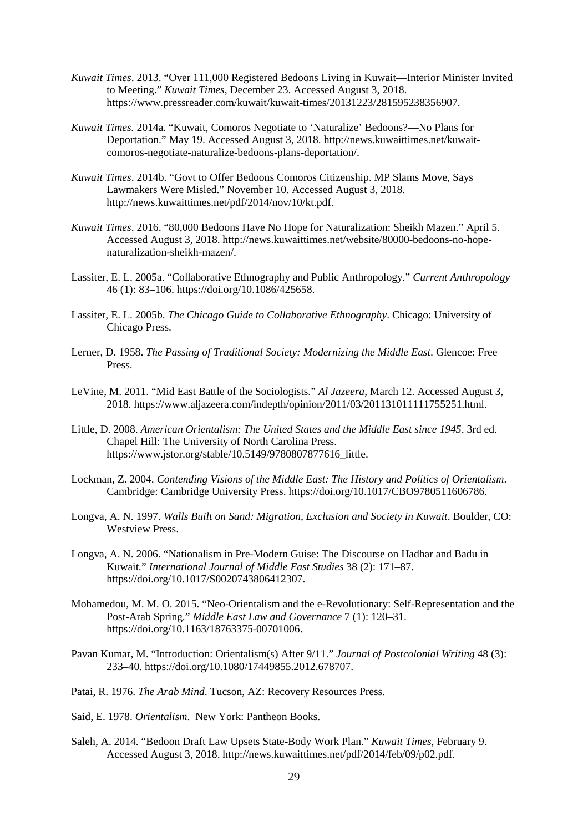- *Kuwait Times*. 2013. "Over 111,000 Registered Bedoons Living in Kuwait—Interior Minister Invited to Meeting." *Kuwait Times*, December 23. Accessed August 3, 2018. [https://www.pressreader.com/kuwait/kuwait-times/20131223/281595238356907.](https://www.pressreader.com/kuwait/kuwait-times/20131223/281595238356907)
- *Kuwait Times.* 2014a. "Kuwait, Comoros Negotiate to 'Naturalize' Bedoons?—No Plans for Deportation." May 19. Accessed August 3, 2018. [http://news.kuwaittimes.net/kuwait](http://news.kuwaittimes.net/kuwait-comoros-negotiate-naturalize-bedoons-plans-deportation/)[comoros-negotiate-naturalize-bedoons-plans-deportation/.](http://news.kuwaittimes.net/kuwait-comoros-negotiate-naturalize-bedoons-plans-deportation/)
- *Kuwait Times*. 2014b. "Govt to Offer Bedoons Comoros Citizenship. MP Slams Move, Says Lawmakers Were Misled." November 10. Accessed August 3, 2018. [http://news.kuwaittimes.net/pdf/2014/nov/10/kt.pdf.](http://news.kuwaittimes.net/pdf/2014/nov/10/kt.pdf)
- *Kuwait Times*. 2016. "80,000 Bedoons Have No Hope for Naturalization: Sheikh Mazen." April 5. Accessed August 3, 2018. [http://news.kuwaittimes.net/website/80000-bedoons-no-hope](http://news.kuwaittimes.net/website/80000-bedoons-no-hope-naturalization-sheikh-mazen/)[naturalization-sheikh-mazen/.](http://news.kuwaittimes.net/website/80000-bedoons-no-hope-naturalization-sheikh-mazen/)
- Lassiter, E. L. 2005a. "Collaborative Ethnography and Public Anthropology." *Current Anthropology* 46 (1): 83–106. [https://doi.org/10.1086/425658.](https://doi.org/10.1086/425658)
- Lassiter, E. L. 2005b. *The Chicago Guide to Collaborative Ethnography*. Chicago: University of Chicago Press.
- Lerner, D. 1958. *The Passing of Traditional Society: Modernizing the Middle East*. Glencoe: Free Press.
- LeVine, M. 2011. "Mid East Battle of the Sociologists." *Al Jazeera*, March 12. Accessed August 3, 2018. [https://www.aljazeera.com/indepth/opinion/2011/03/201131011111755251.html.](https://www.aljazeera.com/indepth/opinion/2011/03/201131011111755251.html)
- Little, D. 2008. *American Orientalism: The United States and the Middle East since 1945*. 3rd ed. Chapel Hill: The University of North Carolina Press. [https://www.jstor.org/stable/10.5149/9780807877616\\_little.](https://www.jstor.org/stable/10.5149/9780807877616_little)
- Lockman, Z. 2004. *Contending Visions of the Middle East: The History and Politics of Orientalism*. Cambridge: Cambridge University Press. [https://doi.org/10.1017/CBO9780511606786.](https://doi.org/10.1017/CBO9780511606786)
- Longva, A. N. 1997. *Walls Built on Sand: Migration, Exclusion and Society in Kuwait*. Boulder, CO: Westview Press.
- Longva, A. N. 2006. "Nationalism in Pre-Modern Guise: The Discourse on Hadhar and Badu in Kuwait*.*" *International Journal of Middle East Studies* 38 (2): 171–87. [https://doi.org/10.1017/S0020743806412307.](https://doi.org/10.1017/S0020743806412307)
- Mohamedou, M. M. O. 2015. "Neo-Orientalism and the e-Revolutionary: Self-Representation and the Post-Arab Spring." *Middle East Law and Governance* 7 (1): 120–31. [https://doi.org/10.1163/18763375-00701006.](https://doi.org/10.1163/18763375-00701006)
- Pavan Kumar, M. "Introduction: Orientalism(s) After 9/11." *Journal of Postcolonial Writing* 48 (3): 233–40. [https://doi.org/10.1080/17449855.2012.678707.](https://doi.org/10.1080/17449855.2012.678707)
- Patai, R. 1976. *The Arab Mind*. Tucson, AZ: Recovery Resources Press.
- Said, E. 1978. *Orientalism*. New York: Pantheon Books.
- Saleh, A. 2014. "Bedoon Draft Law Upsets State-Body Work Plan." *Kuwait Times*, February 9. Accessed August 3, 2018. [http://news.kuwaittimes.net/pdf/2014/feb/09/p02.pdf.](http://news.kuwaittimes.net/pdf/2014/feb/09/p02.pdf)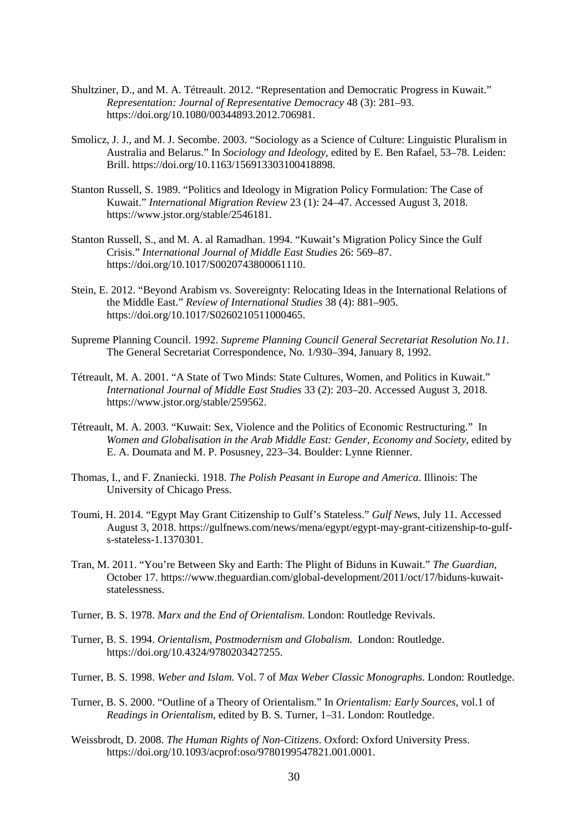- Shultziner, D., and M. A. Tétreault. 2012. "Representation and Democratic Progress in Kuwait." *Representation: Journal of Representative Democracy* 48 (3): 281–93. [https://doi.org/10.1080/00344893.2012.706981.](https://doi.org/10.1080/00344893.2012.706981)
- Smolicz, J. J., and M. J. Secombe. 2003. "Sociology as a Science of Culture: Linguistic Pluralism in Australia and Belarus." In *Sociology and Ideology*, edited by E. Ben Rafael, 53–78. Leiden: Brill[. https://doi.org/10.1163/156913303100418898.](https://doi.org/10.1163/156913303100418898)
- Stanton Russell, S. 1989. "Politics and Ideology in Migration Policy Formulation: The Case of Kuwait." *International Migration Review* 23 (1): 24–47. Accessed August 3, 2018. [https://www.jstor.org/stable/2546181.](https://www.jstor.org/stable/2546181)
- Stanton Russell, S., and M. A. al Ramadhan. 1994. "Kuwait's Migration Policy Since the Gulf Crisis." *International Journal of Middle East Studies* 26: 569–87. [https://doi.org/10.1017/S0020743800061110.](https://doi.org/10.1017/S0020743800061110)
- Stein, E. 2012. "Beyond Arabism vs. Sovereignty: Relocating Ideas in the International Relations of the Middle East." *Review of International Studies* 38 (4): 881–905. [https://doi.org/10.1017/S0260210511000465.](https://doi.org/10.1017/S0260210511000465)
- Supreme Planning Council. 1992. *Supreme Planning Council General Secretariat Resolution No.11*. The General Secretariat Correspondence, No. 1/930–394, January 8, 1992.
- Tétreault, M. A. 2001. "A State of Two Minds: State Cultures, Women, and Politics in Kuwait." *International Journal of Middle East Studies* 33 (2): 203–20. Accessed August 3, 2018. [https://www.jstor.org/stable/259562.](https://www.jstor.org/stable/259562)
- Tétreault, M. A. 2003. "Kuwait: Sex, Violence and the Politics of Economic Restructuring." In *Women and Globalisation in the Arab Middle East: Gender, Economy and Society*, edited by E. A. Doumata and M. P. Posusney, 223–34. Boulder: Lynne Rienner.
- Thomas, I., and F. Znaniecki. 1918. *The Polish Peasant in Europe and America*. Illinois: The University of Chicago Press.
- Toumi, H. 2014. "Egypt May Grant Citizenship to Gulf's Stateless." *Gulf News*, July 11. Accessed August 3, 2018. [https://gulfnews.com/news/mena/egypt/egypt-may-grant-citizenship-to-gulf](https://gulfnews.com/news/mena/egypt/egypt-may-grant-citizenship-to-gulf-s-stateless-1.1370301)[s-stateless-1.1370301.](https://gulfnews.com/news/mena/egypt/egypt-may-grant-citizenship-to-gulf-s-stateless-1.1370301)
- Tran, M. 2011. "You're Between Sky and Earth: The Plight of Biduns in Kuwait." *The Guardian*, October 17. [https://www.theguardian.com/global-development/2011/oct/17/biduns-kuwait](https://www.theguardian.com/global-development/2011/oct/17/biduns-kuwait-statelessness)[statelessness.](https://www.theguardian.com/global-development/2011/oct/17/biduns-kuwait-statelessness)
- Turner, B. S. 1978. *Marx and the End of Orientalism*. London: Routledge Revivals.
- Turner, B. S. 1994. *Orientalism, Postmodernism and Globalism*. London: Routledge. [https://doi.org/10.4324/9780203427255.](https://doi.org/10.4324/9780203427255)
- Turner, B. S. 1998. *Weber and Islam.* Vol. 7 of *Max Weber Classic Monographs*. London: Routledge.
- Turner, B. S. 2000. "Outline of a Theory of Orientalism." In *Orientalism: Early Sources*, vol.1 of *Readings in Orientalism*, edited by B. S. Turner, 1–31. London: Routledge.
- Weissbrodt, D. 2008. *The Human Rights of Non-Citizens*. Oxford: Oxford University Press. [https://doi.org/10.1093/acprof:oso/9780199547821.001.0001.](https://doi.org/10.1093/acprof:oso/9780199547821.001.0001)